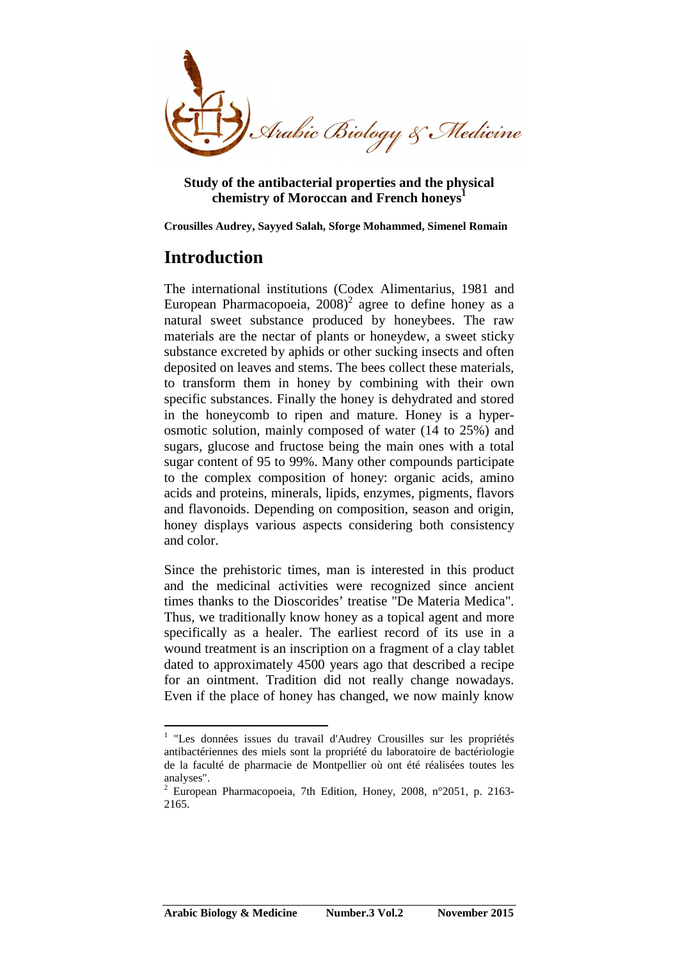

**Study of the antibacterial properties and the physical chemistry of Moroccan and French honeys<sup>1</sup>**

**Crousilles Audrey, Sayyed Salah, Sforge Mohammed, Simenel Romain** 

# **Introduction**

 $\overline{a}$ 

The international institutions (Codex Alimentarius, 1981 and European Pharmacopoeia,  $2008)^2$  agree to define honey as a natural sweet substance produced by honeybees. The raw materials are the nectar of plants or honeydew, a sweet sticky substance excreted by aphids or other sucking insects and often deposited on leaves and stems. The bees collect these materials, to transform them in honey by combining with their own specific substances. Finally the honey is dehydrated and stored in the honeycomb to ripen and mature. Honey is a hyperosmotic solution, mainly composed of water (14 to 25%) and sugars, glucose and fructose being the main ones with a total sugar content of 95 to 99%. Many other compounds participate to the complex composition of honey: organic acids, amino acids and proteins, minerals, lipids, enzymes, pigments, flavors and flavonoids. Depending on composition, season and origin, honey displays various aspects considering both consistency and color.

Since the prehistoric times, man is interested in this product and the medicinal activities were recognized since ancient times thanks to the Dioscorides' treatise "De Materia Medica". Thus, we traditionally know honey as a topical agent and more specifically as a healer. The earliest record of its use in a wound treatment is an inscription on a fragment of a clay tablet dated to approximately 4500 years ago that described a recipe for an ointment. Tradition did not really change nowadays. Even if the place of honey has changed, we now mainly know

<sup>&</sup>lt;sup>1</sup> "Les données issues du travail d'Audrey Crousilles sur les propriétés antibactériennes des miels sont la propriété du laboratoire de bactériologie de la faculté de pharmacie de Montpellier où ont été réalisées toutes les analyses".

<sup>2</sup> European Pharmacopoeia, 7th Edition, Honey, 2008, n°2051, p. 2163- 2165.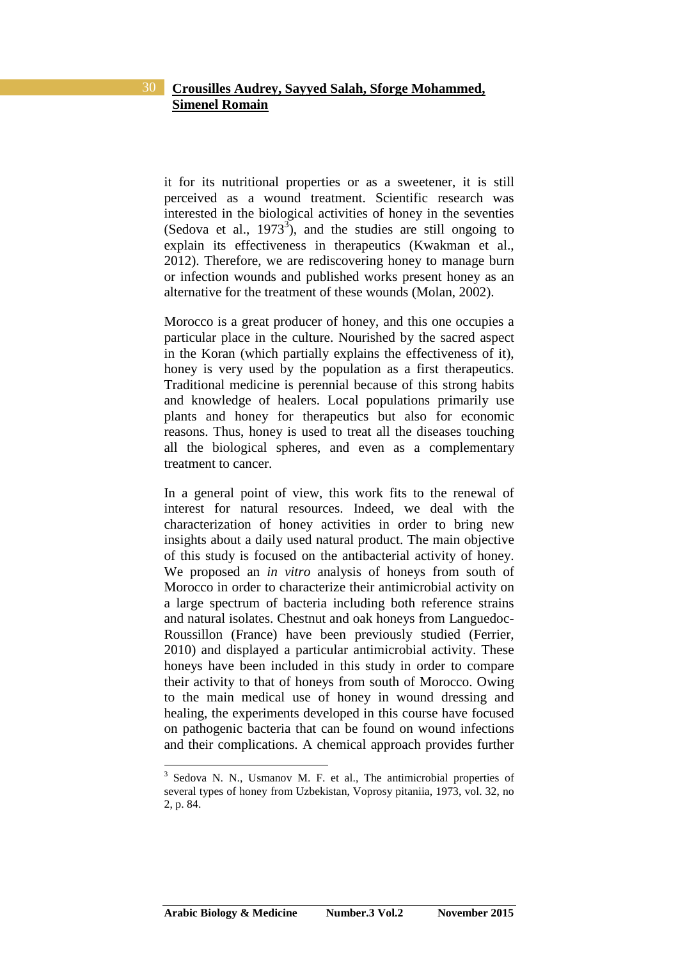it for its nutritional properties or as a sweetener, it is still perceived as a wound treatment. Scientific research was interested in the biological activities of honey in the seventies (Sedova et al.,  $1973^3$ ), and the studies are still ongoing to explain its effectiveness in therapeutics (Kwakman et al., 2012). Therefore, we are rediscovering honey to manage burn or infection wounds and published works present honey as an alternative for the treatment of these wounds (Molan, 2002).

Morocco is a great producer of honey, and this one occupies a particular place in the culture. Nourished by the sacred aspect in the Koran (which partially explains the effectiveness of it), honey is very used by the population as a first therapeutics. Traditional medicine is perennial because of this strong habits and knowledge of healers. Local populations primarily use plants and honey for therapeutics but also for economic reasons. Thus, honey is used to treat all the diseases touching all the biological spheres, and even as a complementary treatment to cancer.

In a general point of view, this work fits to the renewal of interest for natural resources. Indeed, we deal with the characterization of honey activities in order to bring new insights about a daily used natural product. The main objective of this study is focused on the antibacterial activity of honey. We proposed an *in vitro* analysis of honeys from south of Morocco in order to characterize their antimicrobial activity on a large spectrum of bacteria including both reference strains and natural isolates. Chestnut and oak honeys from Languedoc-Roussillon (France) have been previously studied (Ferrier, 2010) and displayed a particular antimicrobial activity. These honeys have been included in this study in order to compare their activity to that of honeys from south of Morocco. Owing to the main medical use of honey in wound dressing and healing, the experiments developed in this course have focused on pathogenic bacteria that can be found on wound infections and their complications. A chemical approach provides further

<sup>&</sup>lt;sup>3</sup> Sedova N. N., Usmanov M. F. et al., The antimicrobial properties of several types of honey from Uzbekistan, Voprosy pitaniia, 1973, vol. 32, no 2, p. 84.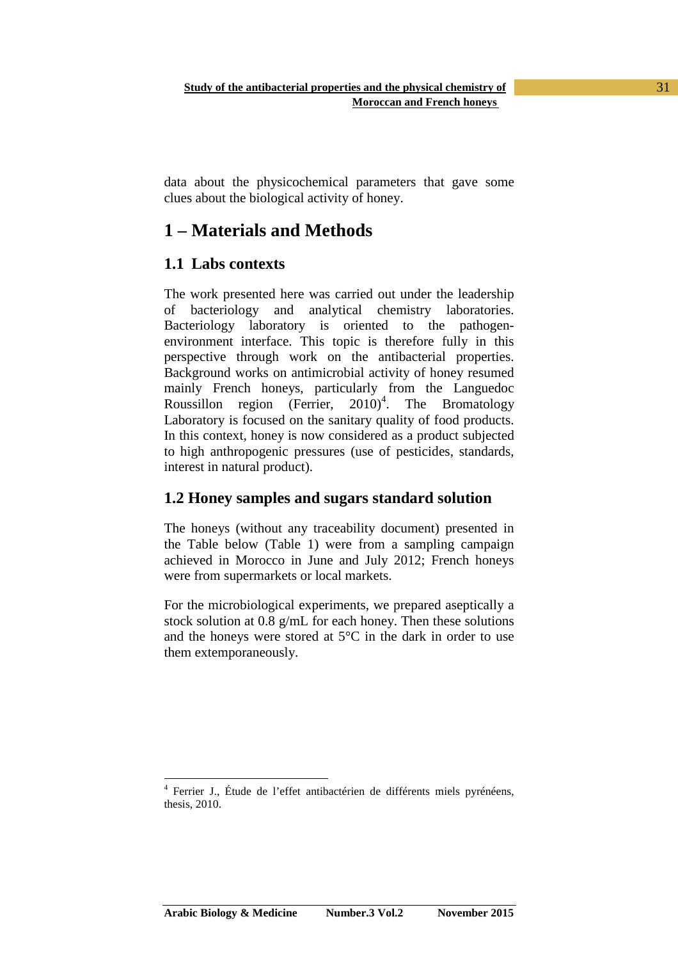data about the physicochemical parameters that gave some clues about the biological activity of honey.

# **1 – Materials and Methods**

## **1.1 Labs contexts**

The work presented here was carried out under the leadership of bacteriology and analytical chemistry laboratories. Bacteriology laboratory is oriented to the pathogenenvironment interface. This topic is therefore fully in this perspective through work on the antibacterial properties. Background works on antimicrobial activity of honey resumed mainly French honeys, particularly from the Languedoc Roussillon region (Ferrier,  $2010$ <sup>4</sup>. The Bromatology Laboratory is focused on the sanitary quality of food products. In this context, honey is now considered as a product subjected to high anthropogenic pressures (use of pesticides, standards, interest in natural product).

## **1.2 Honey samples and sugars standard solution**

The honeys (without any traceability document) presented in the Table below (Table 1) were from a sampling campaign achieved in Morocco in June and July 2012; French honeys were from supermarkets or local markets.

For the microbiological experiments, we prepared aseptically a stock solution at 0.8 g/mL for each honey. Then these solutions and the honeys were stored at 5°C in the dark in order to use them extemporaneously.

 $\overline{a}$ 4 Ferrier J., Étude de l'effet antibactérien de différents miels pyrénéens, thesis, 2010.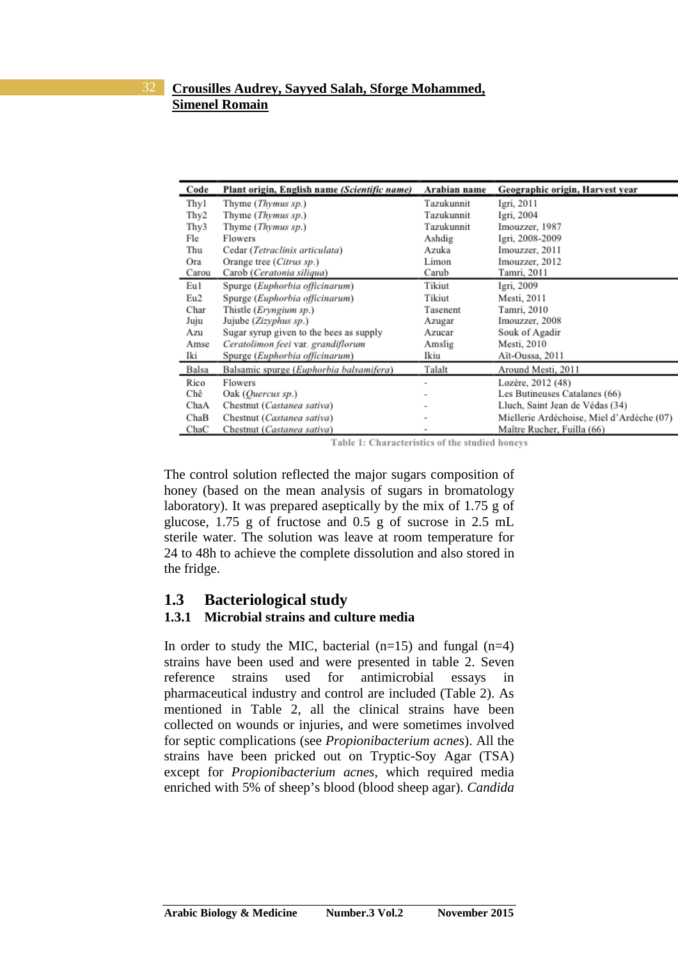| Code  | Plant origin, English name (Scientific name) | Arabian name | Geographic origin, Harvest year           |
|-------|----------------------------------------------|--------------|-------------------------------------------|
| Thy 1 | Thyme ( <i>Thymus sp.</i> )                  | Tazukunnit   | Igri, 2011                                |
| Thy2  | Thyme (Thymus sp.)                           | Tazukunnit   | Igri, 2004                                |
| Thy3  | Thyme (Thymus sp.)                           | Tazukunnit   | Imouzzer, 1987                            |
| Fle   | Flowers                                      | Ashdig       | Igri, 2008-2009                           |
| Thu   | Cedar (Tetraclinis articulata)               | Azuka        | Imouzzer, 2011                            |
| Ora   | Orange tree (Citrus sp.)                     | Limon        | Imouzzer, 2012                            |
| Carou | Carob (Ceratonia siliqua)                    | Carub        | Tamri, 2011                               |
| Eu 1  | Spurge (Euphorbia officinarum)               | Tikiut       | Igri, 2009                                |
| Eu2   | Spurge (Euphorbia officinarum)               | Tikiut       | Mesti, 2011                               |
| Char  | Thistle (Eryngium sp.)                       | Tasenent     | Tamri, 2010                               |
| Juju  | Jujube (Zizyphus sp.)                        | Azugar       | Imouzzer, 2008                            |
| Azu   | Sugar syrup given to the bees as supply      | Azucar       | Souk of Agadir                            |
| Amse  | Ceratolimon feei var. grandiflorum           | Amslig       | Mesti, 2010                               |
| Iki   | Spurge (Euphorbia officinarum)               | Ikiu         | Aït-Oussa, 2011                           |
| Balsa | Balsamic spurge (Euphorbia balsamifera)      | Talalt       | Around Mesti, 2011                        |
| Rico  | Flowers                                      |              | Lozère, 2012 (48)                         |
| Chê   | Oak (Quercus sp.)                            |              | Les Butineuses Catalanes (66)             |
| ChaA  | Chestnut (Castanea sativa)                   |              | Lluch, Saint Jean de Védas (34)           |
| ChaB  | Chestnut (Castanea sativa)                   |              | Miellerie Ardéchoise, Miel d'Ardèche (07) |
| ChaC  | Chestnut (Castanea sativa)                   |              | Maître Rucher, Fuilla (66)                |

Table 1: Characteristics of the studied honeys

The control solution reflected the major sugars composition of honey (based on the mean analysis of sugars in bromatology laboratory). It was prepared aseptically by the mix of 1.75 g of glucose, 1.75 g of fructose and 0.5 g of sucrose in 2.5 mL sterile water. The solution was leave at room temperature for 24 to 48h to achieve the complete dissolution and also stored in the fridge.

#### **1.3 Bacteriological study**

#### **1.3.1 Microbial strains and culture media**

In order to study the MIC, bacterial  $(n=15)$  and fungal  $(n=4)$ strains have been used and were presented in table 2. Seven reference strains used for antimicrobial essays in pharmaceutical industry and control are included (Table 2). As mentioned in Table 2, all the clinical strains have been collected on wounds or injuries, and were sometimes involved for septic complications (see *Propionibacterium acnes*). All the strains have been pricked out on Tryptic-Soy Agar (TSA) except for *Propionibacterium acnes,* which required media enriched with 5% of sheep's blood (blood sheep agar). *Candida*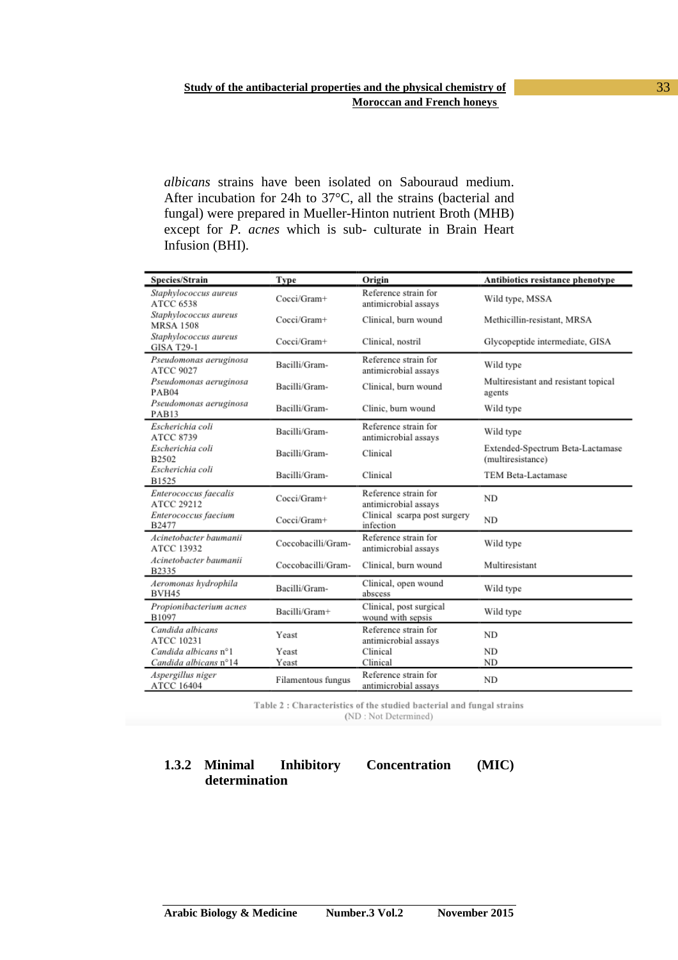*albicans* strains have been isolated on Sabouraud medium. After incubation for 24h to 37°C, all the strains (bacterial and fungal) were prepared in Mueller-Hinton nutrient Broth (MHB) except for *P. acnes* which is sub- culturate in Brain Heart Infusion (BHI).

| Species/Strain                                | Type               | Origin                                       | Antibiotics resistance phenotype                      |
|-----------------------------------------------|--------------------|----------------------------------------------|-------------------------------------------------------|
| Staphylococcus aureus<br><b>ATCC 6538</b>     | Cocci/Gram+        | Reference strain for<br>antimicrobial assays | Wild type, MSSA                                       |
| Staphylococcus aureus<br><b>MRSA 1508</b>     | Cocci/Gram+        | Clinical, burn wound                         | Methicillin-resistant, MRSA                           |
| Staphylococcus aureus<br><b>GISA T29-1</b>    | Cocci/Gram+        | Clinical, nostril                            | Glycopeptide intermediate, GISA                       |
| Pseudomonas aeruginosa<br><b>ATCC 9027</b>    | Bacilli/Gram-      | Reference strain for<br>antimicrobial assays | Wild type                                             |
| Pseudomonas aeruginosa<br>PAB04               | Bacilli/Gram-      | Clinical, burn wound                         | Multiresistant and resistant topical<br>agents        |
| Pseudomonas aeruginosa<br>PAB13               | Bacilli/Gram-      | Clinic, burn wound                           | Wild type                                             |
| Escherichia coli<br><b>ATCC 8739</b>          | Bacilli/Gram-      | Reference strain for<br>antimicrobial assays | Wild type                                             |
| Escherichia coli<br>B2502                     | Bacilli/Gram-      | Clinical                                     | Extended-Spectrum Beta-Lactamase<br>(multiresistance) |
| Escherichia coli<br>B1525                     | Bacilli/Gram-      | Clinical                                     | TEM Beta-Lactamase                                    |
| Enterococcus faecalis<br>ATCC 29212           | Cocci/Gram+        | Reference strain for<br>antimicrobial assays | <b>ND</b>                                             |
| Enterococcus faecium<br>B2477                 | Cocci/Gram+        | Clinical scarpa post surgery<br>infection    | ND                                                    |
| Acinetobacter baumanii<br>ATCC 13932          | Coccobacilli/Gram- | Reference strain for<br>antimicrobial assays | Wild type                                             |
| Acinetobacter baumanii<br>B2335               | Coccobacilli/Gram- | Clinical, burn wound                         | Multiresistant                                        |
| Aeromonas hydrophila<br>BVH45                 | Bacilli/Gram-      | Clinical, open wound<br>abscess              | Wild type                                             |
| Propionibacterium acnes<br>B1097              | Bacilli/Gram+      | Clinical, post surgical<br>wound with sepsis | Wild type                                             |
| Candida albicans<br><b>ATCC 10231</b>         | Yeast              | Reference strain for<br>antimicrobial assays | <b>ND</b>                                             |
| Candida albicans n°1<br>Candida albicans n°14 | Yeast<br>Yeast     | Clinical<br>Clinical                         | <b>ND</b><br><b>ND</b>                                |
| Aspergillus niger<br>ATCC 16404               | Filamentous fungus | Reference strain for<br>antimicrobial assays | <b>ND</b>                                             |

Table 2: Characteristics of the studied bacterial and fungal strains (ND: Not Determined)

### **1.3.2 Minimal Inhibitory Concentration (MIC) determination**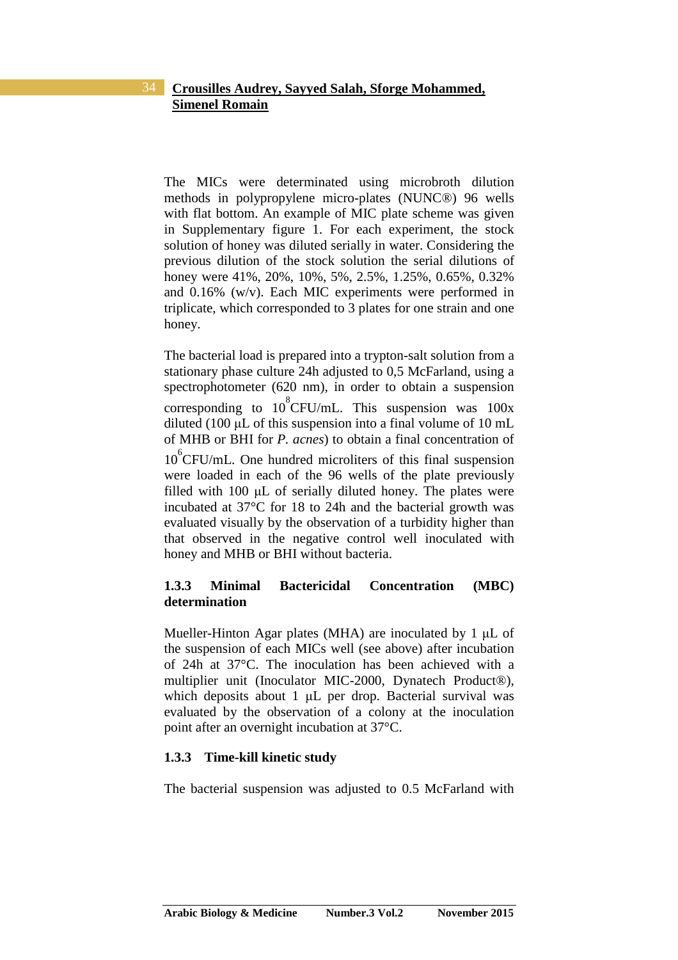The MICs were determinated using microbroth dilution methods in polypropylene micro-plates (NUNC®) 96 wells with flat bottom. An example of MIC plate scheme was given in Supplementary figure 1. For each experiment, the stock solution of honey was diluted serially in water. Considering the previous dilution of the stock solution the serial dilutions of honey were 41%, 20%, 10%, 5%, 2.5%, 1.25%, 0.65%, 0.32% and 0.16% (w/v). Each MIC experiments were performed in triplicate, which corresponded to 3 plates for one strain and one honey.

The bacterial load is prepared into a trypton-salt solution from a stationary phase culture 24h adjusted to 0,5 McFarland, using a spectrophotometer (620 nm), in order to obtain a suspension corresponding to  $10^8$ CFU/mL. This suspension was  $100x$ diluted (100  $\mu$ L of this suspension into a final volume of 10 mL of MHB or BHI for *P. acnes*) to obtain a final concentration of 10<sup>6</sup>CFU/mL. One hundred microliters of this final suspension were loaded in each of the 96 wells of the plate previously filled with 100 µL of serially diluted honey. The plates were incubated at 37°C for 18 to 24h and the bacterial growth was evaluated visually by the observation of a turbidity higher than that observed in the negative control well inoculated with honey and MHB or BHI without bacteria.

### **1.3.3 Minimal Bactericidal Concentration (MBC) determination**

Mueller-Hinton Agar plates (MHA) are inoculated by 1 µL of the suspension of each MICs well (see above) after incubation of 24h at 37°C. The inoculation has been achieved with a multiplier unit (Inoculator MIC-2000, Dynatech Product®), which deposits about 1 µL per drop. Bacterial survival was evaluated by the observation of a colony at the inoculation point after an overnight incubation at 37°C.

#### **1.3.3 Time-kill kinetic study**

The bacterial suspension was adjusted to 0.5 McFarland with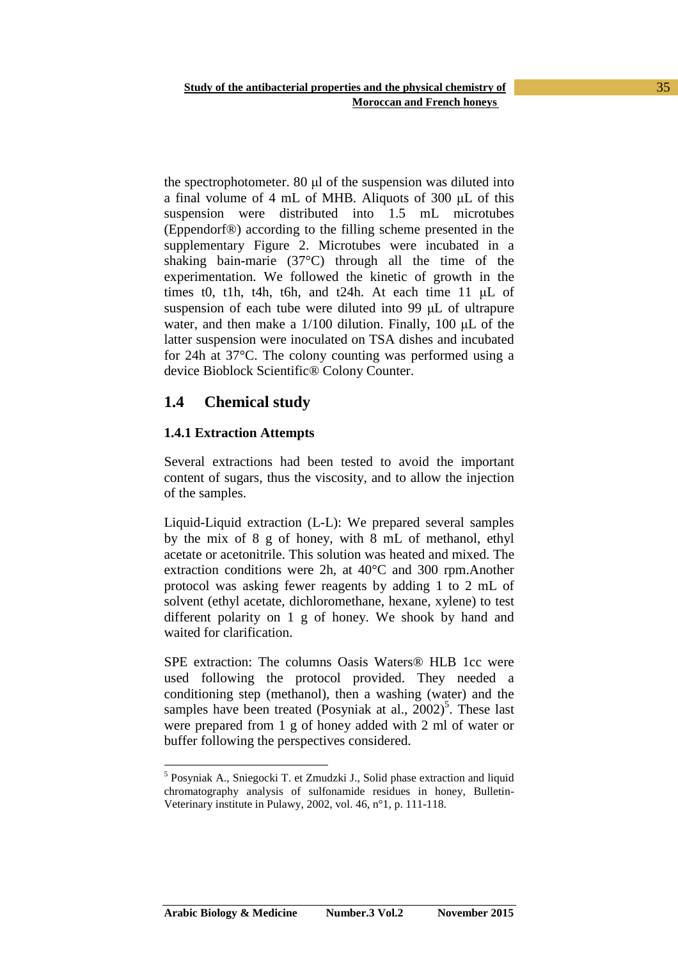the spectrophotometer. 80 µl of the suspension was diluted into a final volume of 4 mL of MHB. Aliquots of 300 µL of this suspension were distributed into 1.5 mL microtubes (Eppendorf®) according to the filling scheme presented in the supplementary Figure 2. Microtubes were incubated in a shaking bain-marie (37°C) through all the time of the experimentation. We followed the kinetic of growth in the times t0, t1h, t4h, t6h, and t24h. At each time 11 µL of suspension of each tube were diluted into 99 µL of ultrapure water, and then make a 1/100 dilution. Finally, 100  $\mu$ L of the latter suspension were inoculated on TSA dishes and incubated for 24h at 37°C. The colony counting was performed using a device Bioblock Scientific® Colony Counter.

## **1.4 Chemical study**

#### **1.4.1 Extraction Attempts**

 $\overline{a}$ 

Several extractions had been tested to avoid the important content of sugars, thus the viscosity, and to allow the injection of the samples.

Liquid-Liquid extraction (L-L): We prepared several samples by the mix of 8 g of honey, with 8 mL of methanol, ethyl acetate or acetonitrile. This solution was heated and mixed. The extraction conditions were 2h, at 40°C and 300 rpm.Another protocol was asking fewer reagents by adding 1 to 2 mL of solvent (ethyl acetate, dichloromethane, hexane, xylene) to test different polarity on 1 g of honey. We shook by hand and waited for clarification.

SPE extraction: The columns Oasis Waters® HLB 1cc were used following the protocol provided. They needed a conditioning step (methanol), then a washing (water) and the samples have been treated (Posyniak at al.,  $2002$ )<sup>5</sup>. These last were prepared from 1 g of honey added with 2 ml of water or buffer following the perspectives considered.

<sup>&</sup>lt;sup>5</sup> Posyniak A., Sniegocki T. et Zmudzki J., Solid phase extraction and liquid chromatography analysis of sulfonamide residues in honey, Bulletin-Veterinary institute in Pulawy, 2002, vol. 46, n°1, p. 111-118.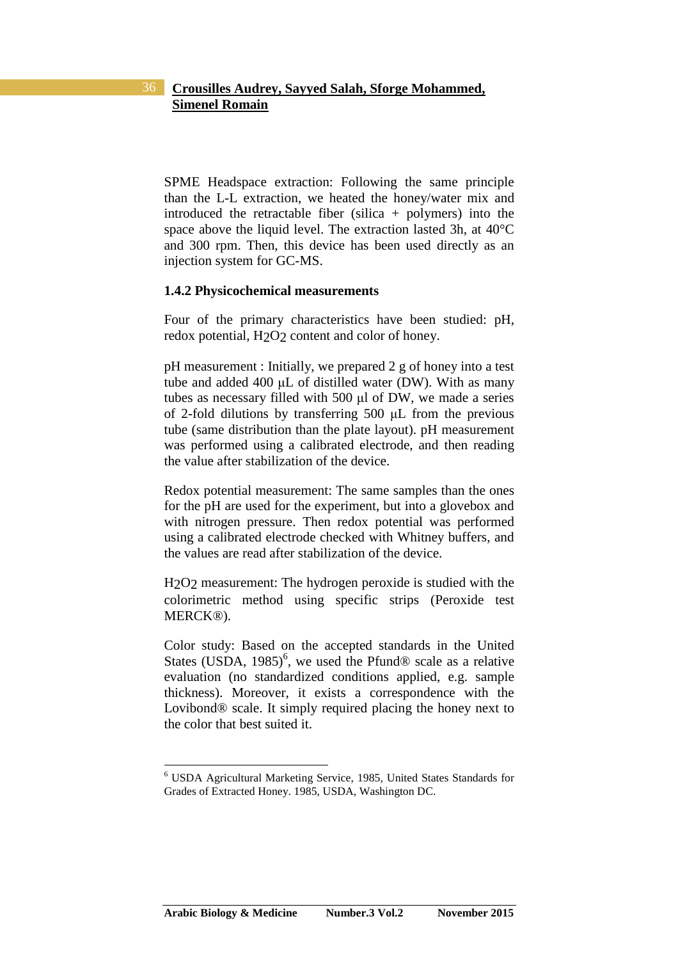SPME Headspace extraction: Following the same principle than the L-L extraction, we heated the honey/water mix and introduced the retractable fiber (silica + polymers) into the space above the liquid level. The extraction lasted 3h, at 40°C and 300 rpm. Then, this device has been used directly as an injection system for GC-MS.

#### **1.4.2 Physicochemical measurements**

Four of the primary characteristics have been studied: pH, redox potential, H<sub>2</sub>O<sub>2</sub> content and color of honey.

pH measurement : Initially, we prepared 2 g of honey into a test tube and added 400 µL of distilled water (DW). With as many tubes as necessary filled with 500 µl of DW, we made a series of 2-fold dilutions by transferring 500 µL from the previous tube (same distribution than the plate layout). pH measurement was performed using a calibrated electrode, and then reading the value after stabilization of the device.

Redox potential measurement: The same samples than the ones for the pH are used for the experiment, but into a glovebox and with nitrogen pressure. Then redox potential was performed using a calibrated electrode checked with Whitney buffers, and the values are read after stabilization of the device.

H2O2 measurement: The hydrogen peroxide is studied with the colorimetric method using specific strips (Peroxide test MERCK®).

Color study: Based on the accepted standards in the United States (USDA, 1985)<sup>6</sup>, we used the Pfund<sup>®</sup> scale as a relative evaluation (no standardized conditions applied, e.g. sample thickness). Moreover, it exists a correspondence with the Lovibond® scale. It simply required placing the honey next to the color that best suited it.

<sup>6</sup> USDA Agricultural Marketing Service, 1985, United States Standards for Grades of Extracted Honey. 1985, USDA, Washington DC.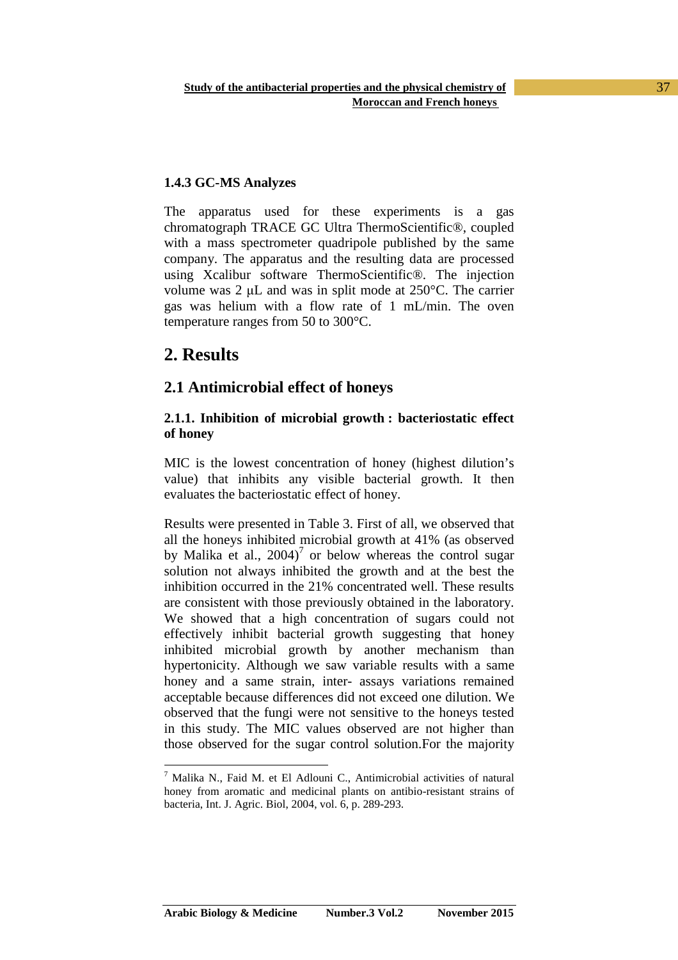#### **1.4.3 GC-MS Analyzes**

The apparatus used for these experiments is a gas chromatograph TRACE GC Ultra ThermoScientific®, coupled with a mass spectrometer quadripole published by the same company. The apparatus and the resulting data are processed using Xcalibur software ThermoScientific®. The injection volume was 2 µL and was in split mode at 250°C. The carrier gas was helium with a flow rate of 1 mL/min. The oven temperature ranges from 50 to 300°C.

## **2. Results**

 $\overline{a}$ 

### **2.1 Antimicrobial effect of honeys**

#### **2.1.1. Inhibition of microbial growth : bacteriostatic effect of honey**

MIC is the lowest concentration of honey (highest dilution's value) that inhibits any visible bacterial growth. It then evaluates the bacteriostatic effect of honey.

Results were presented in Table 3. First of all, we observed that all the honeys inhibited microbial growth at 41% (as observed by Malika et al.,  $2004$ <sup>7</sup> or below whereas the control sugar solution not always inhibited the growth and at the best the inhibition occurred in the 21% concentrated well. These results are consistent with those previously obtained in the laboratory. We showed that a high concentration of sugars could not effectively inhibit bacterial growth suggesting that honey inhibited microbial growth by another mechanism than hypertonicity. Although we saw variable results with a same honey and a same strain, inter- assays variations remained acceptable because differences did not exceed one dilution. We observed that the fungi were not sensitive to the honeys tested in this study. The MIC values observed are not higher than those observed for the sugar control solution.For the majority

<sup>&</sup>lt;sup>7</sup> Malika N., Faid M. et El Adlouni C., Antimicrobial activities of natural honey from aromatic and medicinal plants on antibio-resistant strains of bacteria, Int. J. Agric. Biol, 2004, vol. 6, p. 289-293.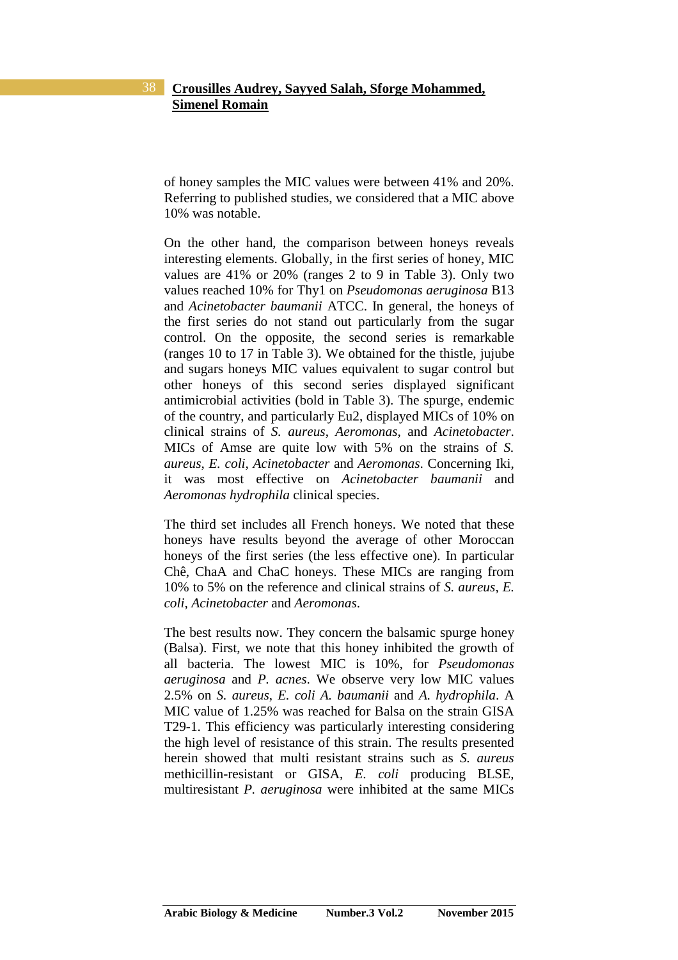of honey samples the MIC values were between 41% and 20%. Referring to published studies, we considered that a MIC above 10% was notable.

On the other hand, the comparison between honeys reveals interesting elements. Globally, in the first series of honey, MIC values are 41% or 20% (ranges 2 to 9 in Table 3). Only two values reached 10% for Thy1 on *Pseudomonas aeruginosa* B13 and *Acinetobacter baumanii* ATCC. In general, the honeys of the first series do not stand out particularly from the sugar control. On the opposite, the second series is remarkable (ranges 10 to 17 in Table 3). We obtained for the thistle, jujube and sugars honeys MIC values equivalent to sugar control but other honeys of this second series displayed significant antimicrobial activities (bold in Table 3). The spurge, endemic of the country, and particularly Eu2, displayed MICs of 10% on clinical strains of *S. aureus*, *Aeromonas*, and *Acinetobacter*. MICs of Amse are quite low with 5% on the strains of *S. aureus*, *E. coli*, *Acinetobacter* and *Aeromonas*. Concerning Iki, it was most effective on *Acinetobacter baumanii* and *Aeromonas hydrophila* clinical species.

The third set includes all French honeys. We noted that these honeys have results beyond the average of other Moroccan honeys of the first series (the less effective one). In particular Chê, ChaA and ChaC honeys. These MICs are ranging from 10% to 5% on the reference and clinical strains of *S. aureus*, *E. coli*, *Acinetobacter* and *Aeromonas*.

The best results now. They concern the balsamic spurge honey (Balsa). First, we note that this honey inhibited the growth of all bacteria. The lowest MIC is 10%, for *Pseudomonas aeruginosa* and *P. acnes*. We observe very low MIC values 2.5% on *S. aureus*, *E. coli A. baumanii* and *A. hydrophila*. A MIC value of 1.25% was reached for Balsa on the strain GISA T29-1. This efficiency was particularly interesting considering the high level of resistance of this strain. The results presented herein showed that multi resistant strains such as *S. aureus*  methicillin-resistant or GISA, *E. coli* producing BLSE, multiresistant *P. aeruginosa* were inhibited at the same MICs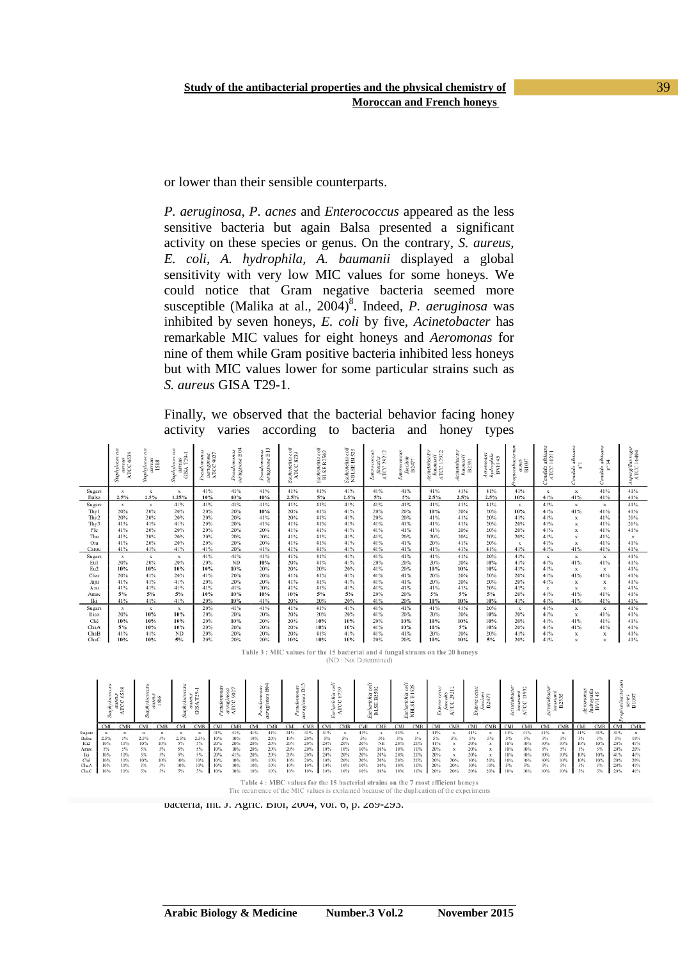or lower than their sensible counterparts.

*P. aeruginosa, P. acnes* and *Enterococcus* appeared as the less sensitive bacteria but again Balsa presented a significant activity on these species or genus. On the contrary, *S. aureus, E. coli, A. hydrophila, A. baumanii* displayed a global sensitivity with very low MIC values for some honeys. We could notice that Gram negative bacteria seemed more susceptible (Malika at al., 2004)<sup>8</sup>. Indeed, *P. aeruginosa* was inhibited by seven honeys, *E. coli* by five, *Acinetobacter* has remarkable MIC values for eight honeys and *Aeromonas* for nine of them while Gram positive bacteria inhibited less honeys but with MIC values lower for some particular strains such as *S. aureus* GISA T29-1.

Finally, we observed that the bacterial behavior facing honey activity varies according to bacteria and honey types

|                  | Saphylococcus<br>aureus<br>ATCC 6538 | aureus<br>1508<br>hylox<br>Ssay | SIR<br>$T29-1$<br>Suphyloce<br>š<br>GISA | Pseudomona<br>۰.<br>305<br>ugine<br>ATCC | nas<br>B04<br>0.87<br>ŝ<br>裝 | aeruginosa B <sub>13</sub><br>Pseudomo | F<br>Eschenchia co<br>ATCC 8739 | ischerichia coli<br>BLSE B2502<br>S | Escherichia coli<br>NBLSE B1525 | alis<br>29212<br>Jaecalis<br>ATCC 297<br>š<br>Enter | 511<br>Grecium<br>B2477<br>Enter | Acinetobacter<br>13932<br>amanii<br><b>ATCC</b><br>÷ | vaunanii<br>B2335<br>tcinetobac | Aeromonas<br>hydrophila<br>BVH 45 | ian<br>acnes<br>B1097<br>opionibæ | andida albican<br>ATCC 10231     | ä<br>ndida<br>e    | albicans<br>본<br>andida | Aspergillus niger<br>ATCC 16404 |
|------------------|--------------------------------------|---------------------------------|------------------------------------------|------------------------------------------|------------------------------|----------------------------------------|---------------------------------|-------------------------------------|---------------------------------|-----------------------------------------------------|----------------------------------|------------------------------------------------------|---------------------------------|-----------------------------------|-----------------------------------|----------------------------------|--------------------|-------------------------|---------------------------------|
| Sugars<br>Balsa  | х<br>2.5%                            | x<br>2.5%                       | $\mathbf x$<br>$1.25\%$                  | 41%<br>10%                               | 41%<br>10%                   | 41%<br>10%                             | 41%<br>2.5%                     | 41%<br>5%                           | 41%<br>2.5%                     | 41%<br>5%                                           | 41%<br>5%                        | 41%<br>2.5%                                          | 41%<br>2.5%                     | 41%<br>2.5%                       | 41%<br>10%                        | $\boldsymbol{\mathsf{x}}$<br>41% | $\mathbf x$<br>41% | 41%<br>41%              | 41%<br>41%                      |
| Sugars           | x                                    | x                               | 41%                                      | 41%                                      | 41%                          | 41%                                    | 41%                             | 41%                                 | 41%                             | 41%                                                 | 41%                              | 41%                                                  | 41%                             | 41%                               | $\mathbf{x}$                      | 41%                              | $\mathbf x$        | $\mathbf{x}$            | 41%                             |
| Thy1             | 20%                                  | 20%                             | 20%                                      | 20%                                      | 20%                          | 10%                                    | 20%                             | 41%                                 | 41%                             | 20%                                                 | 20%                              | 10%                                                  | 20%                             | 20%                               | 10%                               | 41%                              | 41%                | 41%                     | 41%                             |
| Thy <sub>2</sub> | 20%                                  | 20%                             | 20%                                      | 20%                                      | 20%                          | 41%                                    | 20%                             | 41%                                 | 41%                             | 20%                                                 | 20%                              | 41%                                                  | 41%                             | 20%                               | 41%                               | 41%                              | $\mathbf x$        | 41%                     | 20%                             |
| Thy3             | 41%                                  | 41%                             | 41%                                      | 20%                                      | 20%                          | 41%                                    | 41%                             | 41%                                 | 41%                             | 41%                                                 | 41%                              | 41%                                                  | 41%                             | 20%                               | 20%                               | 41%                              | $\mathbf x$        | 41%                     | 20%                             |
| Fle              | 41%                                  | 20%                             | 20%                                      | 20%                                      | 20%                          | 20%                                    | 41%                             | 41%                                 | 41%                             | 41%                                                 | 41%                              | 41%                                                  | 20%                             | 20%                               | 20%                               | 41%                              | $\mathbf x$        | 41%                     | 41%                             |
| Thu              | 41%                                  | 20%                             | 20%                                      | 20%                                      | 20%                          | 20%                                    | 41%                             | 41%                                 | 41%                             | 41%                                                 | 20%                              | 20%                                                  | 20%                             | 20%                               | 20%                               | 41%                              | $\mathbf x$        | 41%                     | х                               |
| Ora              | 41%                                  | 20%                             | 20%                                      | 20%                                      | 20%                          | 20%                                    | 41%                             | 41%                                 | 41%                             | 41%                                                 | 41%                              | 20%                                                  | 41%                             | 20%                               | $\mathbf x$                       | 41%                              | $\mathbf x$        | 41%                     | 41%                             |
| Carou            | 41%                                  | 41%                             | 41%                                      | 41%                                      | 20%                          | 41%                                    | 41%                             | 41%                                 | 41%                             | 41%                                                 | 41%                              | 41%                                                  | 41%                             | 41%                               | 41%                               | 41%                              | 41%                | 41%                     | 41%                             |
| Sugars           | $\mathbf x$                          | x                               | $\mathbf{x}$                             | 41%                                      | 41%                          | 41%                                    | 41%                             | 41%                                 | 41%                             | 41%                                                 | 41%                              | 41%                                                  | 41%                             | 20%                               | 41%                               | $\boldsymbol{\mathsf{x}}$        | $\mathbf x$        | $\mathbf{x}$            | 41%                             |
| Eu1              | 20%                                  | 20%                             | 20%                                      | 20%                                      | ND                           | 10%                                    | 20%                             | 41%                                 | 41%                             | 20%                                                 | 20%                              | 20%                                                  | 20%                             | 10%                               | 41%                               | 41%                              | 41%                | 41%                     | 41%                             |
| Eu2              | 10%                                  | 10%                             | 10%                                      | 10%                                      | 10%                          | 20%                                    | 20%                             | 20%                                 | 20%                             | 41%                                                 | 20%                              | 10%                                                  | 10%                             | 10%                               | 41%                               | 41%                              | $\mathbf x$        | $\mathbf{x}$            | 41%                             |
| Char             | 20%                                  | 41%                             | 20%                                      | 41%                                      | 20%                          | 20%                                    | 41%                             | 41%                                 | 41%                             | 41%                                                 | 41%                              | 20%                                                  | 20%                             | 20%                               | 20%                               | 41%                              | 41%                | 41%                     | 41%                             |
| Juju             | 41%                                  | 41%                             | 41%                                      | 20%                                      | 20%                          | 20%                                    | 41%                             | 41%                                 | 41%                             | 41%                                                 | 41%                              | 20%                                                  | 20%                             | 20%                               | 20%                               | 41%                              | $\mathbf x$        | $\mathbf x$             | 41%                             |
| Azu              | 41%                                  | 41%                             | 41%                                      | 41%                                      | 41%                          | 20%                                    | 41%                             | 41%                                 | 41%                             | 41%                                                 | 41%                              | 41%                                                  | 41%                             | 20%                               | 41%                               | $\boldsymbol{\mathsf{x}}$        | $\mathbf x$        | $\mathbf x$             | 41%                             |
| Amse             | 5%                                   | 5%                              | 5%                                       | 10%                                      | 10%                          | 10%                                    | 10%                             | 5%                                  | 5%                              | 20%                                                 | 20%                              | 5%                                                   | 5%                              | 5%                                | 20%                               | 41%                              | 41%                | 41%                     | 41%                             |
| Iki              | 41%                                  | 41%                             | 41%                                      | 20%                                      | 10%                          | 41%                                    | 20%                             | 20%                                 | 20%                             | 41%                                                 | 20%                              | 10%                                                  | 10%                             | 10%                               | 41%                               | 41%                              | 41%                | 41%                     | 41%                             |
| Sugars           | $\mathbf x$                          | x                               | $\mathbf{x}$                             | 20%                                      | 41%                          | 41%                                    | 41%                             | 41%                                 | 41%                             | 41%                                                 | 41%                              | 41%                                                  | 41%                             | 20%                               | $\mathbf x$                       | 41%                              | $\mathbf x$        | $\mathbf{x}$            | 41%                             |
| Rico             | 20%                                  | $10\%$                          | 10%                                      | 20%                                      | 20%                          | 20%                                    | 20%                             | 20%                                 | 20%                             | 41%                                                 | 20%                              | 20%                                                  | 20%                             | 10%                               | 20%                               | 41%                              | $\mathbf x$        | 41%                     | 41%                             |
| Chê              | 10%                                  | 10%                             | 10%                                      | 20%                                      | 10%                          | 20%                                    | 20%                             | 10%                                 | 10%                             | 20%                                                 | 10%                              | 10%                                                  | 10%                             | 10%                               | 20%                               | 41%                              | 41%                | 41%                     | 41%                             |
| ChaA             | 5%                                   | $10\%$                          | 10%                                      | 20%                                      | 20%                          | 20%                                    | 20%                             | 10%                                 | 10%                             | 41%                                                 | 10%                              | 10%                                                  | 5%                              | 10%                               | 20%                               | 41%                              | 41%                | 41%                     | 41%                             |
| ChaB             | 41%                                  | 41%                             | <b>ND</b>                                | 20%                                      | 20%                          | 20%                                    | 20%                             | 41%                                 | 41%                             | 41%                                                 | 41%                              | 20%                                                  | 20%                             | 20%                               | 41%                               | 41%                              | $\mathbf x$        | $\mathbf{x}$            | 41%                             |
| ChaC             | 10%                                  | $10\%$                          | 5%                                       | 20%                                      | 20%                          | 20%                                    | 10%                             | 10%                                 | 10%                             | 20%                                                 | 20%                              | 10%                                                  | 10%                             | 5%                                | 20%                               | 41%                              | $\bf x$            | $\bf x$                 | 41%                             |

Table 3 : MIC values for the 15 bacterial and 4 fungal strains on the 20 honeys (ND: Not Determined)

|        |     | ëñ,<br>ے |     |     |     |      |            | ۳   |     | 38  |     | $\overline{\phantom{a}}$<br>$\infty$ |     | $\infty$ |     | e<br>⋒ |     | S.<br>$\sim$<br>ં હતે<br>$\sim$ $-$<br>$\infty$<br>$\left  \frac{1}{2} \right $<br>$\alpha$<br>ន្ត |     | $^{4}$<br>$\sim$<br>Two che |     | 芸術<br>ミト<br>Ñ<br>m |     | $\sim$<br>c<br>- |     | $\sim$<br>. er |     | ഷ്ണ<br>-<br>三四 |     |     |
|--------|-----|----------|-----|-----|-----|------|------------|-----|-----|-----|-----|--------------------------------------|-----|----------|-----|--------|-----|----------------------------------------------------------------------------------------------------|-----|-----------------------------|-----|--------------------|-----|------------------|-----|----------------|-----|----------------|-----|-----|
|        | CMI | CMB      | CMI | CMB | CMI | CMB  | <b>CMI</b> | CMB | CMI | CMB | CMI | CMB                                  | CMI | CMB      | CMI | CMB    | CMI | <b>CMB</b>                                                                                         | CMI | CMB                         | CMI | CMB                | CMI | CMB              | CMI | "MB            | CMI | CMB            | CMI | CMB |
| Sugars |     |          |     |     |     |      |            |     |     |     |     | 41%                                  |     |          |     |        |     |                                                                                                    |     |                             |     |                    |     | 41%              |     |                | 41% |                |     |     |
| Balsa  |     |          |     |     |     | 2.5% |            |     |     |     | 10% | 20%                                  |     |          |     |        | 5%  |                                                                                                    |     |                             | 5%  | 5%                 |     |                  |     |                |     |                |     | 10% |
| Eu2    | 10% | 10%      |     |     |     | 5%   |            |     |     |     |     | 20%                                  |     |          |     | NE     | 20% | 20%                                                                                                |     |                             |     |                    |     | 10%              | 10% | 10%            | 10% | 10%            |     | 41% |
| Amse   |     |          |     |     |     |      |            |     |     |     |     | 20%                                  |     | 10%      |     |        | 10% |                                                                                                    |     |                             | 20% |                    |     |                  |     |                |     |                |     | 20% |
| Iki    | 10% | 10%      |     |     |     | 5%   |            |     |     |     |     | 20%                                  |     |          |     |        | 20% |                                                                                                    |     |                             |     |                    |     |                  | 10% | 10%            | 10% | 10%            |     | 41% |
| Chê    |     | 10%      |     |     |     | 10%  |            |     |     |     |     | 20%                                  |     |          |     |        |     |                                                                                                    |     |                             |     | 20%                |     |                  |     | 10%            | 10% | 10%            |     | 20% |
| ChaA   |     |          |     |     |     | 10%  |            |     |     |     |     | 10%                                  |     |          |     |        | 10% |                                                                                                    |     |                             |     | 10%                |     |                  |     |                | 5%  |                |     | 41% |
| ChaC   |     |          |     |     |     |      |            |     |     |     |     | 10%                                  |     |          |     |        |     |                                                                                                    |     |                             |     |                    |     |                  |     |                |     |                |     |     |

 $\frac{8M}{100}$  Faid M. Eq. (1998) C.,  $\frac{10M}{1000}$  C.,  $\frac{10M}{1000}$  C.,  $\frac{10M}{1000}$  C.,  $\frac{10M}{1000}$  C.,  $\frac{10M}{1000}$  C.,  $\frac{10M}{1000}$  C.,  $\frac{10M}{1000}$  C.,  $\frac{10M}{1000}$  C.,  $\frac{10M}{1000}$  C.,  $\frac{10M}{1000}$ The recurrence of the MIC values is explained because of the duplication of the experiments

bacteria, Int. J. Agric. Biol, 2004, vol. 6, p. 289-293.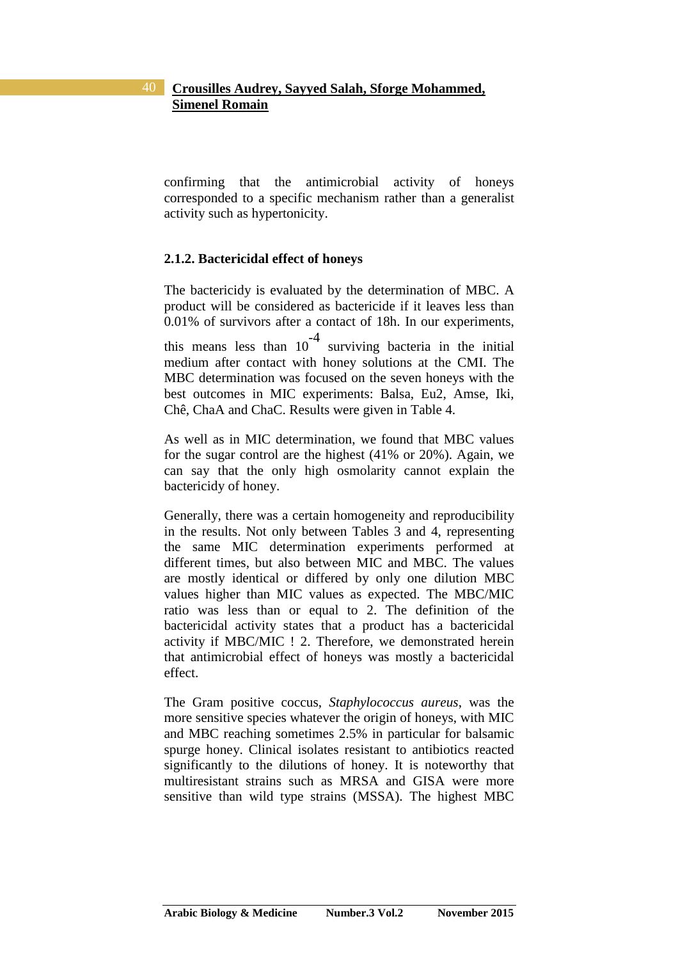confirming that the antimicrobial activity of honeys corresponded to a specific mechanism rather than a generalist activity such as hypertonicity.

#### **2.1.2. Bactericidal effect of honeys**

The bactericidy is evaluated by the determination of MBC. A product will be considered as bactericide if it leaves less than 0.01% of survivors after a contact of 18h. In our experiments, this means less than  $10^{-4}$  surviving bacteria in the initial medium after contact with honey solutions at the CMI. The MBC determination was focused on the seven honeys with the best outcomes in MIC experiments: Balsa, Eu2, Amse, Iki, Chê, ChaA and ChaC. Results were given in Table 4.

As well as in MIC determination, we found that MBC values for the sugar control are the highest (41% or 20%). Again, we can say that the only high osmolarity cannot explain the bactericidy of honey.

Generally, there was a certain homogeneity and reproducibility in the results. Not only between Tables 3 and 4, representing the same MIC determination experiments performed at different times, but also between MIC and MBC. The values are mostly identical or differed by only one dilution MBC values higher than MIC values as expected. The MBC/MIC ratio was less than or equal to 2. The definition of the bactericidal activity states that a product has a bactericidal activity if MBC/MIC ! 2. Therefore, we demonstrated herein that antimicrobial effect of honeys was mostly a bactericidal effect.

The Gram positive coccus, *Staphylococcus aureus*, was the more sensitive species whatever the origin of honeys, with MIC and MBC reaching sometimes 2.5% in particular for balsamic spurge honey. Clinical isolates resistant to antibiotics reacted significantly to the dilutions of honey. It is noteworthy that multiresistant strains such as MRSA and GISA were more sensitive than wild type strains (MSSA). The highest MBC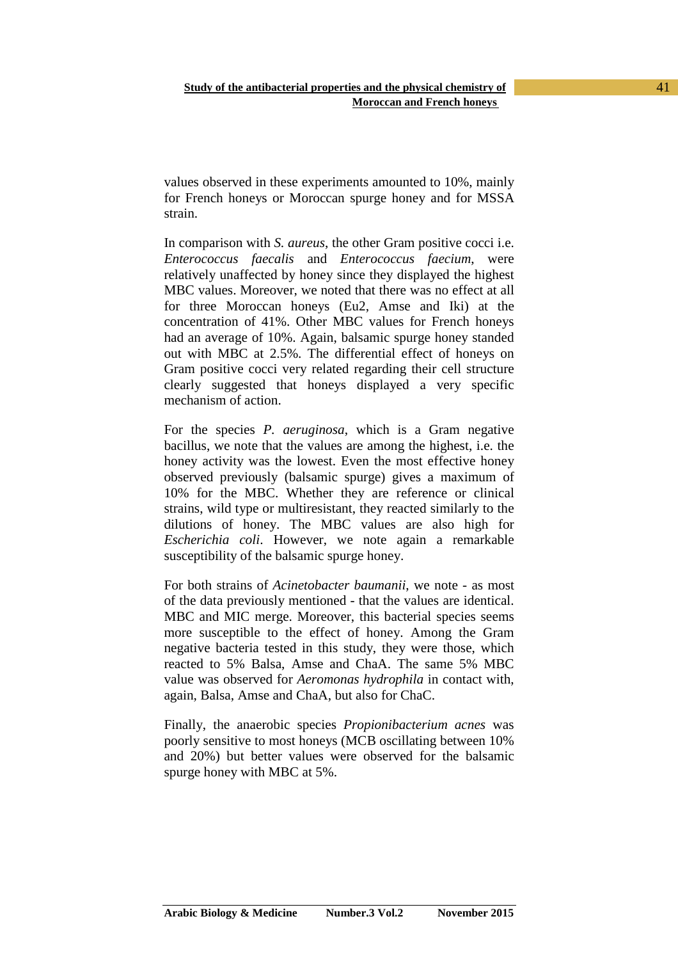values observed in these experiments amounted to 10%, mainly for French honeys or Moroccan spurge honey and for MSSA strain.

In comparison with *S. aureus*, the other Gram positive cocci i.e. *Enterococcus faecalis* and *Enterococcus faecium*, were relatively unaffected by honey since they displayed the highest MBC values. Moreover, we noted that there was no effect at all for three Moroccan honeys (Eu2, Amse and Iki) at the concentration of 41%. Other MBC values for French honeys had an average of 10%. Again, balsamic spurge honey standed out with MBC at 2.5%. The differential effect of honeys on Gram positive cocci very related regarding their cell structure clearly suggested that honeys displayed a very specific mechanism of action.

For the species *P. aeruginosa*, which is a Gram negative bacillus, we note that the values are among the highest, i.e. the honey activity was the lowest. Even the most effective honey observed previously (balsamic spurge) gives a maximum of 10% for the MBC. Whether they are reference or clinical strains, wild type or multiresistant, they reacted similarly to the dilutions of honey. The MBC values are also high for *Escherichia coli*. However, we note again a remarkable susceptibility of the balsamic spurge honey.

For both strains of *Acinetobacter baumanii*, we note - as most of the data previously mentioned - that the values are identical. MBC and MIC merge. Moreover, this bacterial species seems more susceptible to the effect of honey. Among the Gram negative bacteria tested in this study, they were those, which reacted to 5% Balsa, Amse and ChaA. The same 5% MBC value was observed for *Aeromonas hydrophila* in contact with, again, Balsa, Amse and ChaA, but also for ChaC.

Finally, the anaerobic species *Propionibacterium acnes* was poorly sensitive to most honeys (MCB oscillating between 10% and 20%) but better values were observed for the balsamic spurge honey with MBC at 5%.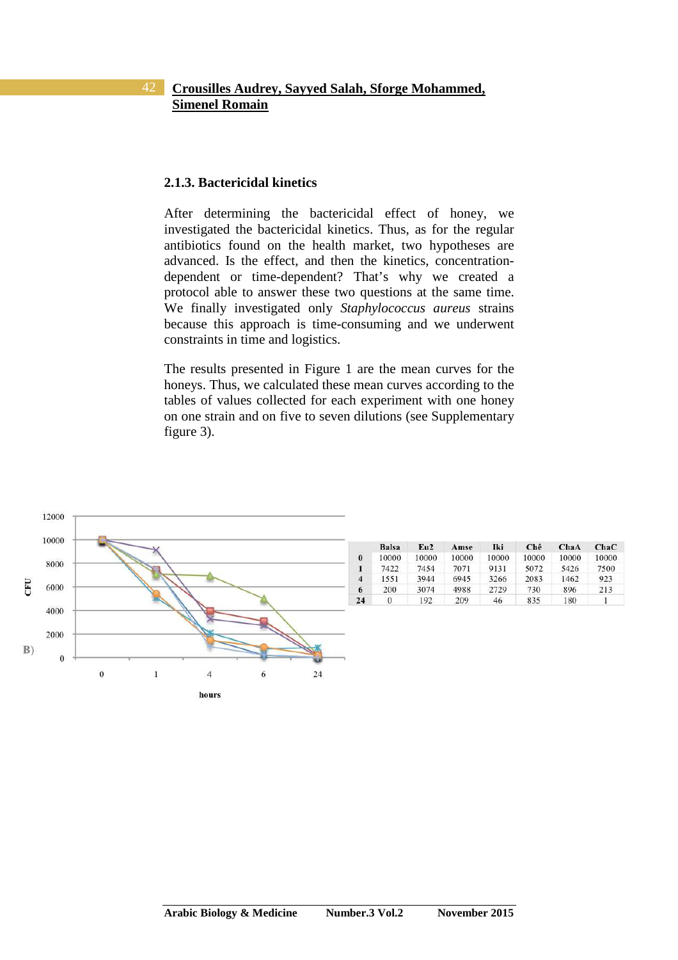#### **2.1.3. Bactericidal kinetics**

After determining the bactericidal effect of honey, we investigated the bactericidal kinetics. Thus, as for the regular antibiotics found on the health market, two hypotheses are advanced. Is the effect, and then the kinetics, concentrationdependent or time-dependent? That's why we created a protocol able to answer these two questions at the same time. We finally investigated only *Staphylococcus aureus* strains because this approach is time-consuming and we underwent constraints in time and logistics.

The results presented in Figure 1 are the mean curves for the honeys. Thus, we calculated these mean curves according to the tables of values collected for each experiment with one honey on one strain and on five to seven dilutions (see Supplementary figure 3).

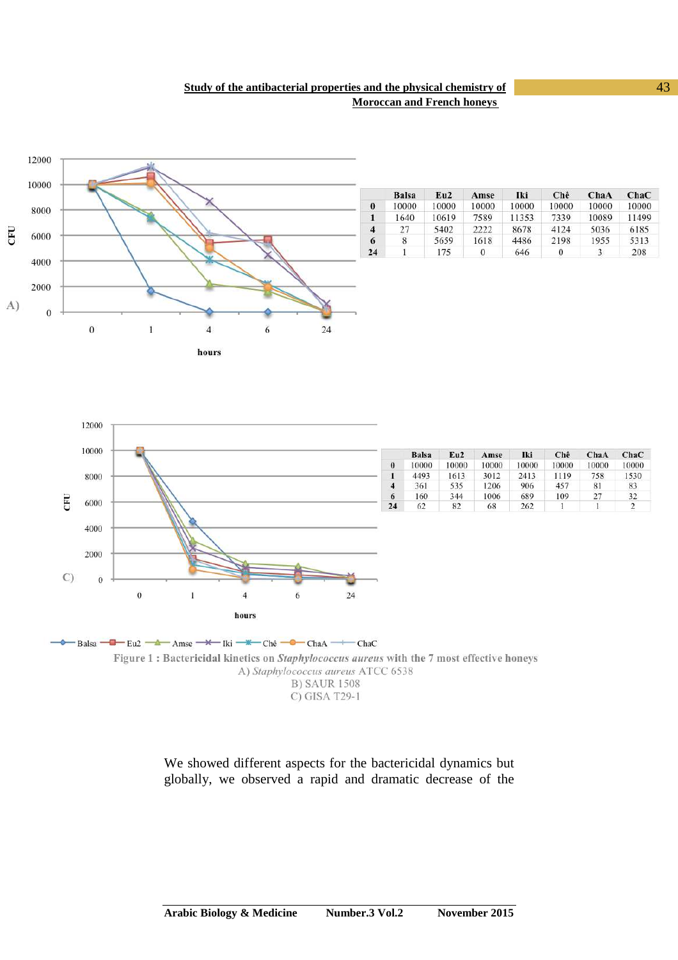#### **Study of the antibacterial properties and the physical chemistry of** 43 **Moroccan and French honeys**



|                | <b>Balsa</b> | Eu2   | Amse  | Iki   | Chê   | ChaA  | ChaC  |
|----------------|--------------|-------|-------|-------|-------|-------|-------|
| $\bf{0}$       | 10000        | 10000 | 10000 | 10000 | 10000 | 10000 | 10000 |
| 1              | 1640         | 10619 | 7589  | 11353 | 7339  | 10089 | 11499 |
| $\overline{4}$ | 27           | 5402  | 2222  | 8678  | 4124  | 5036  | 6185  |
| 6              | 8            | 5659  | 1618  | 4486  | 2198  | 1955  | 5313  |
| 24             |              | 175   | 0     | 646   | O     | 3     | 208   |



**B) SAUR 1508** C) GISA T29-1

We showed different aspects for the bactericidal dynamics but globally, we observed a rapid and dramatic decrease of the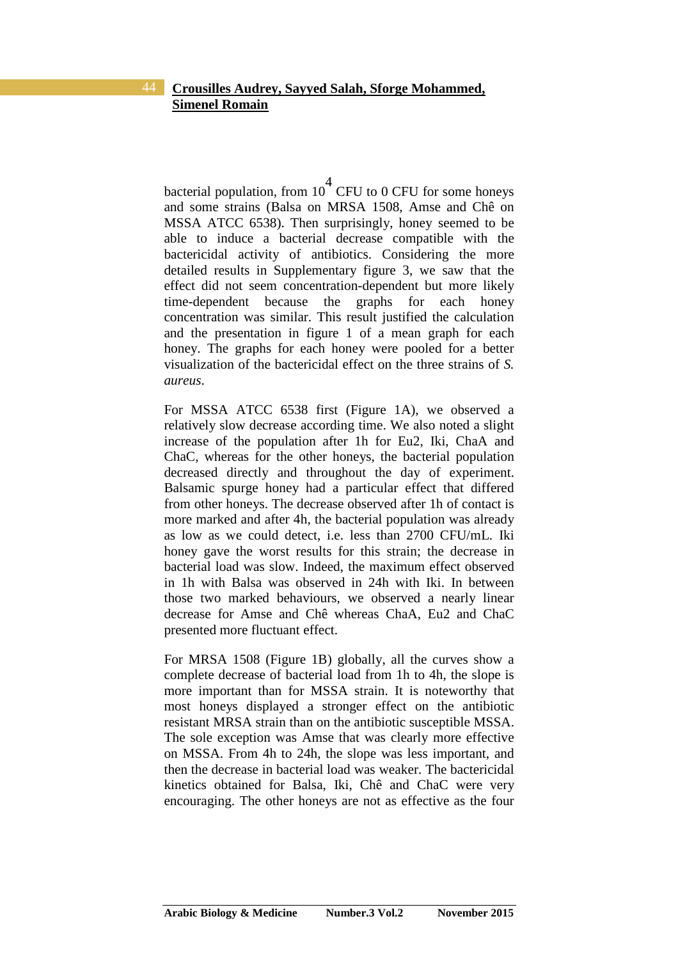bacterial population, from  $10^4$  CFU to 0 CFU for some honeys and some strains (Balsa on MRSA 1508, Amse and Chê on MSSA ATCC 6538). Then surprisingly, honey seemed to be able to induce a bacterial decrease compatible with the bactericidal activity of antibiotics. Considering the more detailed results in Supplementary figure 3, we saw that the effect did not seem concentration-dependent but more likely time-dependent because the graphs for each honey concentration was similar. This result justified the calculation and the presentation in figure 1 of a mean graph for each honey. The graphs for each honey were pooled for a better visualization of the bactericidal effect on the three strains of *S. aureus*.

For MSSA ATCC 6538 first (Figure 1A), we observed a relatively slow decrease according time. We also noted a slight increase of the population after 1h for Eu2, Iki, ChaA and ChaC, whereas for the other honeys, the bacterial population decreased directly and throughout the day of experiment. Balsamic spurge honey had a particular effect that differed from other honeys. The decrease observed after 1h of contact is more marked and after 4h, the bacterial population was already as low as we could detect, i.e. less than 2700 CFU/mL. Iki honey gave the worst results for this strain; the decrease in bacterial load was slow. Indeed, the maximum effect observed in 1h with Balsa was observed in 24h with Iki. In between those two marked behaviours, we observed a nearly linear decrease for Amse and Chê whereas ChaA, Eu2 and ChaC presented more fluctuant effect.

For MRSA 1508 (Figure 1B) globally, all the curves show a complete decrease of bacterial load from 1h to 4h, the slope is more important than for MSSA strain. It is noteworthy that most honeys displayed a stronger effect on the antibiotic resistant MRSA strain than on the antibiotic susceptible MSSA. The sole exception was Amse that was clearly more effective on MSSA. From 4h to 24h, the slope was less important, and then the decrease in bacterial load was weaker. The bactericidal kinetics obtained for Balsa, Iki, Chê and ChaC were very encouraging. The other honeys are not as effective as the four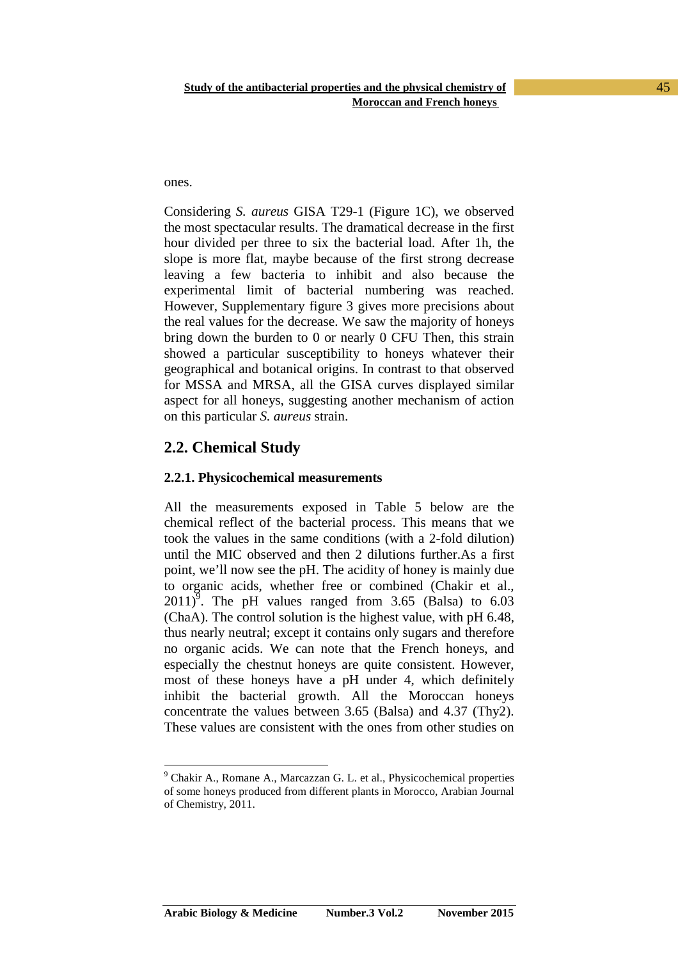ones.

 $\overline{a}$ 

Considering *S. aureus* GISA T29-1 (Figure 1C), we observed the most spectacular results. The dramatical decrease in the first hour divided per three to six the bacterial load. After 1h, the slope is more flat, maybe because of the first strong decrease leaving a few bacteria to inhibit and also because the experimental limit of bacterial numbering was reached. However, Supplementary figure 3 gives more precisions about the real values for the decrease. We saw the majority of honeys bring down the burden to 0 or nearly 0 CFU Then, this strain showed a particular susceptibility to honeys whatever their geographical and botanical origins. In contrast to that observed for MSSA and MRSA, all the GISA curves displayed similar aspect for all honeys, suggesting another mechanism of action on this particular *S. aureus* strain.

## **2.2. Chemical Study**

#### **2.2.1. Physicochemical measurements**

All the measurements exposed in Table 5 below are the chemical reflect of the bacterial process. This means that we took the values in the same conditions (with a 2-fold dilution) until the MIC observed and then 2 dilutions further.As a first point, we'll now see the pH. The acidity of honey is mainly due to organic acids, whether free or combined (Chakir et al.,  $2011$ <sup>5</sup>. The pH values ranged from 3.65 (Balsa) to 6.03 (ChaA). The control solution is the highest value, with pH 6.48, thus nearly neutral; except it contains only sugars and therefore no organic acids. We can note that the French honeys, and especially the chestnut honeys are quite consistent. However, most of these honeys have a pH under 4, which definitely inhibit the bacterial growth. All the Moroccan honeys concentrate the values between 3.65 (Balsa) and 4.37 (Thy2). These values are consistent with the ones from other studies on

<sup>&</sup>lt;sup>9</sup> Chakir A., Romane A., Marcazzan G. L. et al., Physicochemical properties of some honeys produced from different plants in Morocco, Arabian Journal of Chemistry, 2011.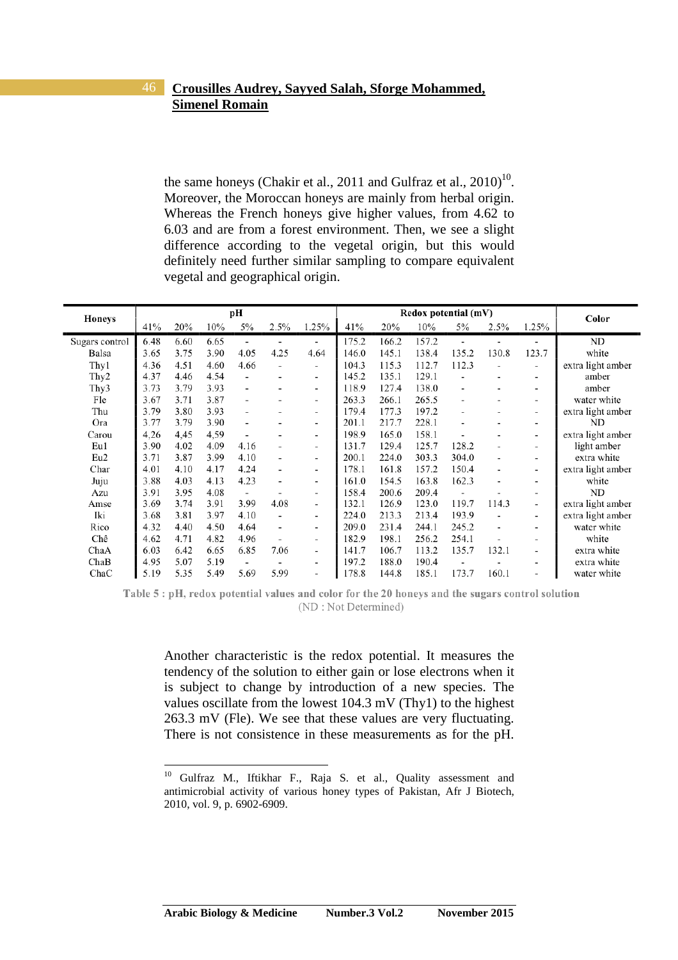the same honeys (Chakir et al., 2011 and Gulfraz et al.,  $2010$ <sup>10</sup>. Moreover, the Moroccan honeys are mainly from herbal origin. Whereas the French honeys give higher values, from 4.62 to 6.03 and are from a forest environment. Then, we see a slight difference according to the vegetal origin, but this would definitely need further similar sampling to compare equivalent vegetal and geographical origin.

| <b>Honeys</b>    |      |      |      | pН                       |                          |                          |       | Redox potential (mV) | Color |       |                          |                          |                   |
|------------------|------|------|------|--------------------------|--------------------------|--------------------------|-------|----------------------|-------|-------|--------------------------|--------------------------|-------------------|
|                  | 41%  | 20%  | 10%  | 5%                       | 2.5%                     | 1.25%                    | 41%   | 20%                  | 10%   | 5%    | 2.5%                     | 1.25%                    |                   |
| Sugars control   | 6.48 | 6.60 | 6.65 |                          |                          |                          | 175.2 | 166.2                | 157.2 |       |                          |                          | ND                |
| Balsa            | 3.65 | 3.75 | 3.90 | 4.05                     | 4.25                     | 4.64                     | 146.0 | 145.1                | 138.4 | 135.2 | 130.8                    | 123.7                    | white             |
| Thy1             | 4.36 | 4.51 | 4.60 | 4.66                     | $\blacksquare$           | -                        | 104.3 | 115.3                | 112.7 | 112.3 |                          | ٠                        | extra light amber |
| Thy <sub>2</sub> | 4.37 | 4.46 | 4.54 | $\overline{a}$           |                          | ۰                        | 145.2 | 135.1                | 129.1 |       |                          | ٠                        | amber             |
| Thy3             | 3.73 | 3.79 | 3.93 |                          |                          | ٠                        | 118.9 | 127.4                | 138.0 |       | ٠                        | ٠                        | amber             |
| Fle              | 3.67 | 3.71 | 3.87 |                          |                          | -                        | 263.3 | 266.1                | 265.5 |       |                          | -                        | water white       |
| Thu              | 3.79 | 3.80 | 3.93 |                          |                          | ٠                        | 179.4 | 177.3                | 197.2 |       |                          | -                        | extra light amber |
| Ora              | 3.77 | 3.79 | 3.90 |                          |                          | -                        | 201.1 | 217.7                | 228.1 |       |                          | -                        | ND                |
| Carou            | 4,26 | 4.45 | 4,59 |                          |                          | ٠                        | 198.9 | 165.0                | 158.1 |       | ٠                        | ٠                        | extra light amber |
| Eu1              | 3.90 | 4.02 | 4.09 | 4.16                     | $\blacksquare$           | ۰                        | 131.7 | 129.4                | 125.7 | 128.2 | ٠                        |                          | light amber       |
| Eu2              | 3.71 | 3.87 | 3.99 | 4.10                     | $\overline{a}$           | $\overline{\phantom{0}}$ | 200.1 | 224.0                | 303.3 | 304.0 | $\overline{a}$           | $\overline{\phantom{0}}$ | extra white       |
| Char             | 4.01 | 4.10 | 4.17 | 4.24                     |                          | $\overline{\phantom{a}}$ | 178.1 | 161.8                | 157.2 | 150.4 | $\overline{\phantom{a}}$ | -                        | extra light amber |
| Juju             | 3.88 | 4.03 | 4.13 | 4.23                     |                          | ٠                        | 161.0 | 154.5                | 163.8 | 162.3 | ٠                        |                          | white             |
| Azu              | 3.91 | 3.95 | 4.08 | $\overline{\phantom{a}}$ |                          | ٠                        | 158.4 | 200.6                | 209.4 |       |                          | ٠                        | ND                |
| Amse             | 3.69 | 3.74 | 3.91 | 3.99                     | 4.08                     |                          | 132.1 | 126.9                | 123.0 | 119.7 | 114.3                    | ٠                        | extra light amber |
| Iki              | 3.68 | 3.81 | 3.97 | 4.10                     | $\overline{\phantom{a}}$ | ۰                        | 224.0 | 213.3                | 213.4 | 193.9 | $\overline{\phantom{a}}$ | -                        | extra light amber |
| Rico             | 4.32 | 4.40 | 4.50 | 4.64                     | $\overline{\phantom{0}}$ | $\overline{\phantom{0}}$ | 209.0 | 231.4                | 244.1 | 245.2 | $\overline{\phantom{a}}$ | $\overline{\phantom{0}}$ | water white       |
| Chê              | 4.62 | 4.71 | 4.82 | 4.96                     |                          | -                        | 182.9 | 198.1                | 256.2 | 254.1 |                          | ٠                        | white             |
| ChaA             | 6.03 | 6.42 | 6.65 | 6.85                     | 7.06                     | $\overline{\phantom{a}}$ | 141.7 | 106.7                | 113.2 | 135.7 | 132.1                    |                          | extra white       |
| ChaB             | 4.95 | 5.07 | 5.19 | $\overline{\phantom{a}}$ | $\blacksquare$           | ٠                        | 197.2 | 188.0                | 190.4 |       |                          | $\overline{\phantom{a}}$ | extra white       |
| ChaC             | 5.19 | 5.35 | 5.49 | 5.69                     | 5.99                     | -                        | 178.8 | 144.8                | 185.1 | 173.7 | 160.1                    | $\overline{\phantom{a}}$ | water white       |

Table 5 : pH, redox potential values and color for the 20 honeys and the sugars control solution (ND: Not Determined)

Another characteristic is the redox potential. It measures the tendency of the solution to either gain or lose electrons when it is subject to change by introduction of a new species. The values oscillate from the lowest 104.3 mV (Thy1) to the highest 263.3 mV (Fle). We see that these values are very fluctuating. There is not consistence in these measurements as for the pH.

<sup>&</sup>lt;sup>10</sup> Gulfraz M., Iftikhar F., Raja S. et al., Quality assessment and antimicrobial activity of various honey types of Pakistan, Afr J Biotech, 2010, vol. 9, p. 6902-6909.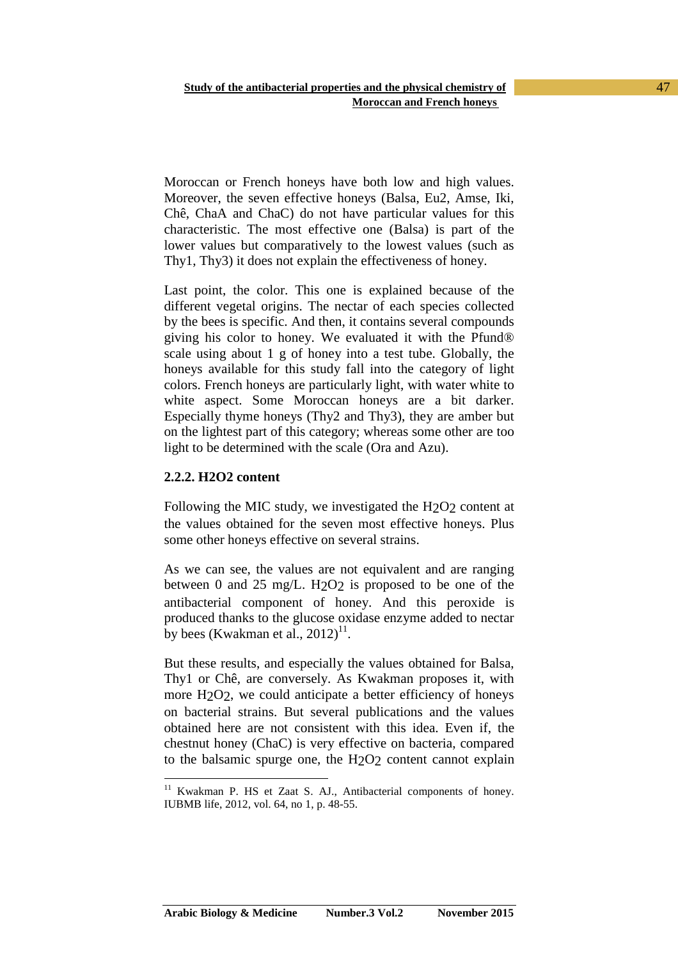Moroccan or French honeys have both low and high values. Moreover, the seven effective honeys (Balsa, Eu2, Amse, Iki, Chê, ChaA and ChaC) do not have particular values for this characteristic. The most effective one (Balsa) is part of the lower values but comparatively to the lowest values (such as Thy1, Thy3) it does not explain the effectiveness of honey.

Last point, the color. This one is explained because of the different vegetal origins. The nectar of each species collected by the bees is specific. And then, it contains several compounds giving his color to honey. We evaluated it with the Pfund® scale using about 1 g of honey into a test tube. Globally, the honeys available for this study fall into the category of light colors. French honeys are particularly light, with water white to white aspect. Some Moroccan honeys are a bit darker. Especially thyme honeys (Thy2 and Thy3), they are amber but on the lightest part of this category; whereas some other are too light to be determined with the scale (Ora and Azu).

#### **2.2.2. H2O2 content**

Following the MIC study, we investigated the H2O2 content at the values obtained for the seven most effective honeys. Plus some other honeys effective on several strains.

As we can see, the values are not equivalent and are ranging between 0 and 25 mg/L. H2O2 is proposed to be one of the antibacterial component of honey. And this peroxide is produced thanks to the glucose oxidase enzyme added to nectar by bees (Kwakman et al.,  $2012$ )<sup>11</sup>.

But these results, and especially the values obtained for Balsa, Thy1 or Chê, are conversely. As Kwakman proposes it, with more H<sub>2</sub>O<sub>2</sub>, we could anticipate a better efficiency of honeys on bacterial strains. But several publications and the values obtained here are not consistent with this idea. Even if, the chestnut honey (ChaC) is very effective on bacteria, compared to the balsamic spurge one, the H2O2 content cannot explain

 $\overline{a}$ <sup>11</sup> Kwakman P. HS et Zaat S. AJ., Antibacterial components of honey. IUBMB life, 2012, vol. 64, no 1, p. 48-55.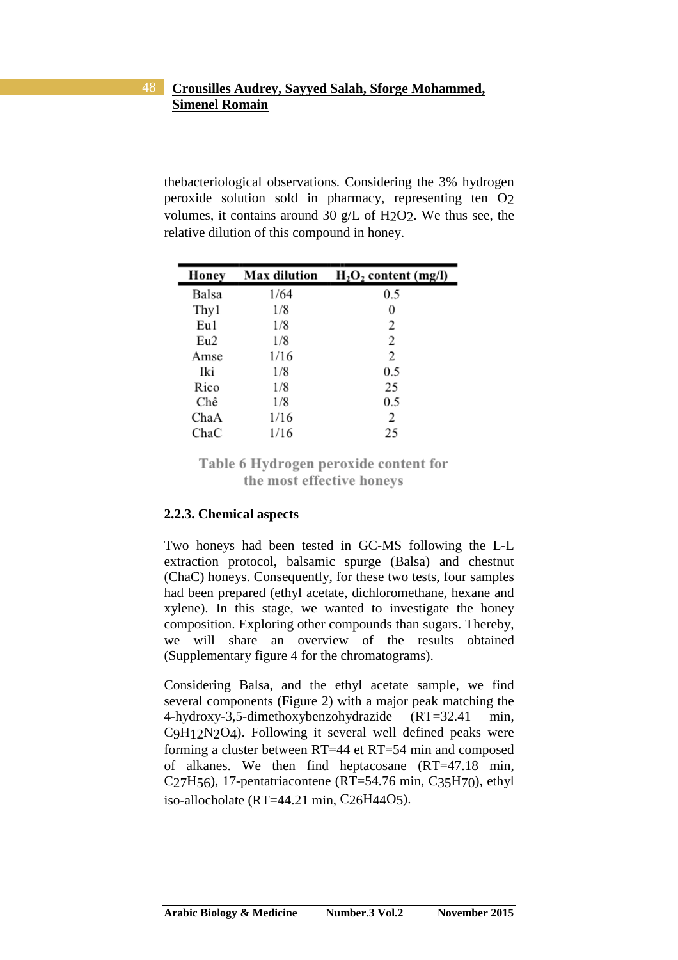thebacteriological observations. Considering the 3% hydrogen peroxide solution sold in pharmacy, representing ten O2 volumes, it contains around 30 g/L of H2O2. We thus see, the relative dilution of this compound in honey.

| Honey | <b>Max dilution</b> | $H_2O_2$ content (mg/l) |
|-------|---------------------|-------------------------|
| Balsa | 1/64                | 0.5                     |
| Thy 1 | 1/8                 | 0                       |
| Eu1   | 1/8                 | 2                       |
| Eu2   | 1/8                 | 2                       |
| Amse  | 1/16                | 2                       |
| Iki   | 1/8                 | 0.5                     |
| Rico  | 1/8                 | 25                      |
| Chê   | 1/8                 | 0.5                     |
| ChaA  | 1/16                | $\mathfrak{D}$          |
| ChaC  | 1/16                | 25                      |

Table 6 Hydrogen peroxide content for the most effective honeys

#### **2.2.3. Chemical aspects**

Two honeys had been tested in GC-MS following the L-L extraction protocol, balsamic spurge (Balsa) and chestnut (ChaC) honeys. Consequently, for these two tests, four samples had been prepared (ethyl acetate, dichloromethane, hexane and xylene). In this stage, we wanted to investigate the honey composition. Exploring other compounds than sugars. Thereby, we will share an overview of the results obtained (Supplementary figure 4 for the chromatograms).

Considering Balsa, and the ethyl acetate sample, we find several components (Figure 2) with a major peak matching the 4-hydroxy-3,5-dimethoxybenzohydrazide (RT=32.41 min, C9H12N2O4). Following it several well defined peaks were forming a cluster between RT=44 et RT=54 min and composed of alkanes. We then find heptacosane (RT=47.18 min, C<sub>27</sub>H<sub>56</sub>), 17-pentatriacontene (RT=54.76 min, C<sub>35</sub>H<sub>70</sub>), ethyl iso-allocholate (RT=44.21 min, C26H44O5).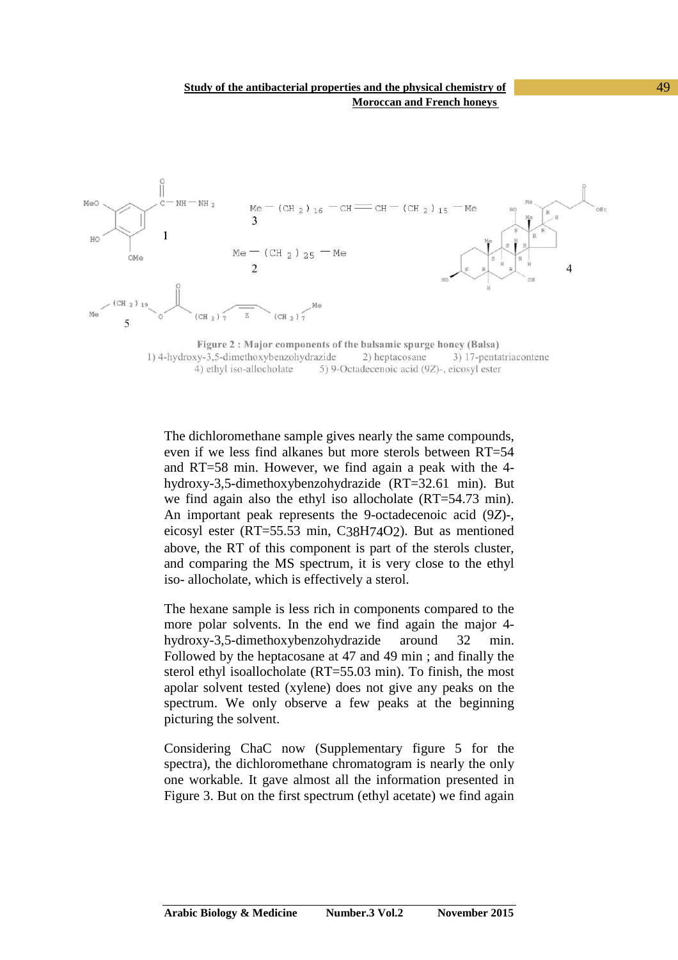

4) ethyl iso-allocholate 5) 9-Octadecenoic acid (9Z)-, eicosyl ester

The dichloromethane sample gives nearly the same compounds, even if we less find alkanes but more sterols between RT=54 and RT=58 min. However, we find again a peak with the 4 hydroxy-3,5-dimethoxybenzohydrazide (RT=32.61 min). But we find again also the ethyl iso allocholate (RT=54.73 min). An important peak represents the 9-octadecenoic acid (9*Z*)-, eicosyl ester (RT=55.53 min, C38H74O2). But as mentioned above, the RT of this component is part of the sterols cluster, and comparing the MS spectrum, it is very close to the ethyl iso- allocholate, which is effectively a sterol.

The hexane sample is less rich in components compared to the more polar solvents. In the end we find again the major 4 hydroxy-3,5-dimethoxybenzohydrazide around 32 min. Followed by the heptacosane at 47 and 49 min ; and finally the sterol ethyl isoallocholate (RT=55.03 min). To finish, the most apolar solvent tested (xylene) does not give any peaks on the spectrum. We only observe a few peaks at the beginning picturing the solvent.

Considering ChaC now (Supplementary figure 5 for the spectra), the dichloromethane chromatogram is nearly the only one workable. It gave almost all the information presented in Figure 3. But on the first spectrum (ethyl acetate) we find again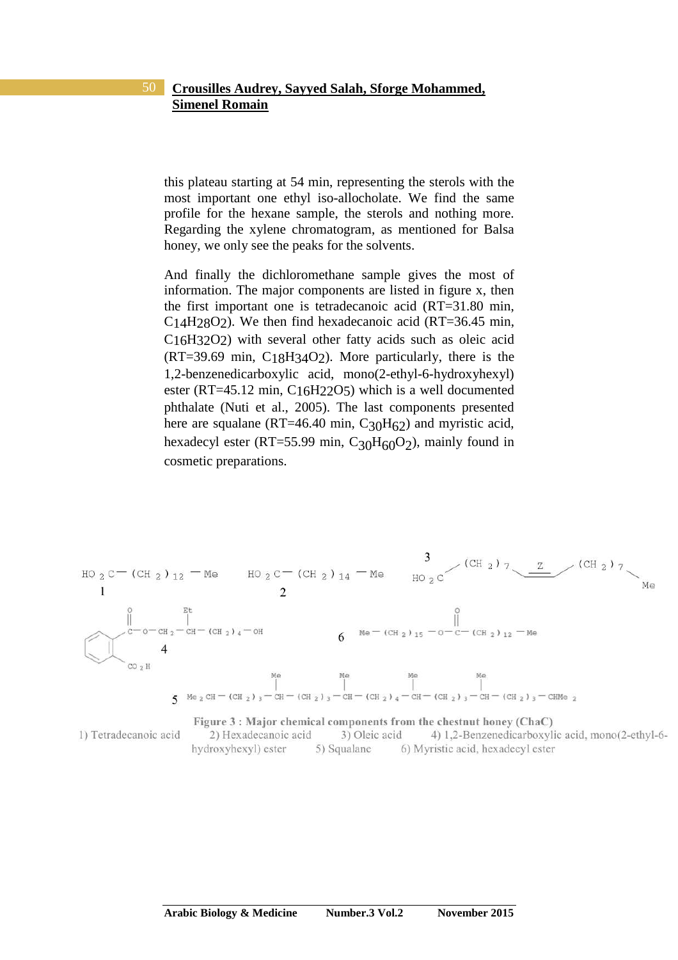this plateau starting at 54 min, representing the sterols with the most important one ethyl iso-allocholate. We find the same profile for the hexane sample, the sterols and nothing more. Regarding the xylene chromatogram, as mentioned for Balsa honey, we only see the peaks for the solvents.

And finally the dichloromethane sample gives the most of information. The major components are listed in figure x, then the first important one is tetradecanoic acid (RT=31.80 min, C14H28O2). We then find hexadecanoic acid (RT=36.45 min, C16H32O2) with several other fatty acids such as oleic acid (RT=39.69 min, C18H34O2). More particularly, there is the 1,2-benzenedicarboxylic acid, mono(2-ethyl-6-hydroxyhexyl) ester (RT=45.12 min, C16H22O5) which is a well documented phthalate (Nuti et al., 2005). The last components presented here are squalane (RT=46.40 min,  $C_{30}H_{62}$ ) and myristic acid, hexadecyl ester (RT=55.99 min, C<sub>30</sub>H<sub>60</sub>O<sub>2</sub>), mainly found in cosmetic preparations.



**Arabic Biology & Medicine Number.3 Vol.2 November 2015**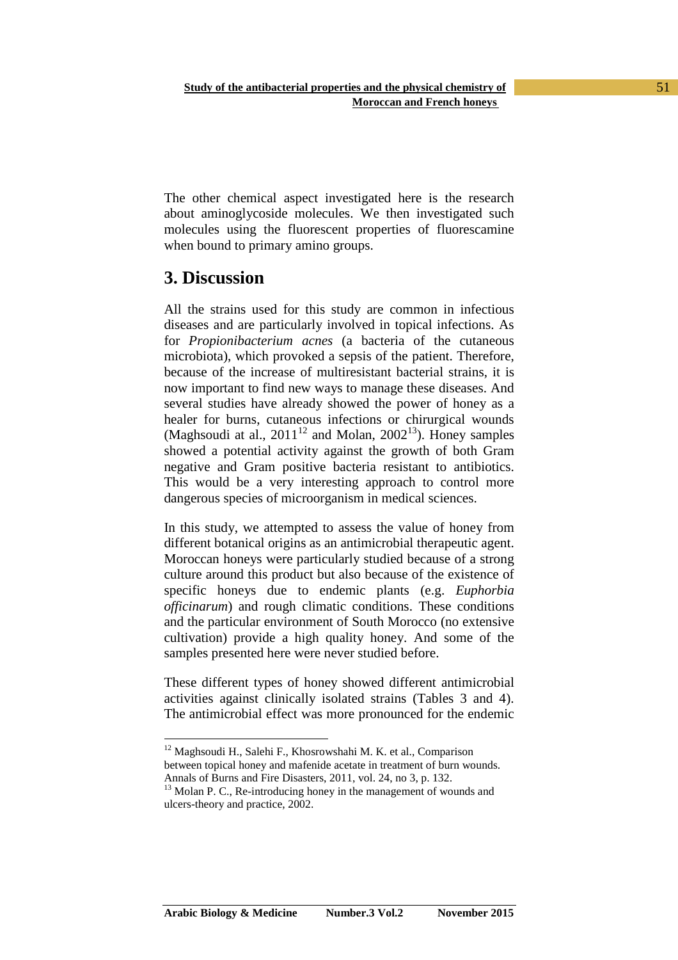The other chemical aspect investigated here is the research about aminoglycoside molecules. We then investigated such molecules using the fluorescent properties of fluorescamine when bound to primary amino groups.

# **3. Discussion**

All the strains used for this study are common in infectious diseases and are particularly involved in topical infections. As for *Propionibacterium acnes* (a bacteria of the cutaneous microbiota), which provoked a sepsis of the patient. Therefore, because of the increase of multiresistant bacterial strains, it is now important to find new ways to manage these diseases. And several studies have already showed the power of honey as a healer for burns, cutaneous infections or chirurgical wounds (Maghsoudi at al.,  $2011^{12}$  and Molan,  $2002^{13}$ ). Honey samples showed a potential activity against the growth of both Gram negative and Gram positive bacteria resistant to antibiotics. This would be a very interesting approach to control more dangerous species of microorganism in medical sciences.

In this study, we attempted to assess the value of honey from different botanical origins as an antimicrobial therapeutic agent. Moroccan honeys were particularly studied because of a strong culture around this product but also because of the existence of specific honeys due to endemic plants (e.g. *Euphorbia officinarum*) and rough climatic conditions. These conditions and the particular environment of South Morocco (no extensive cultivation) provide a high quality honey. And some of the samples presented here were never studied before.

These different types of honey showed different antimicrobial activities against clinically isolated strains (Tables 3 and 4). The antimicrobial effect was more pronounced for the endemic

 $\overline{a}$ <sup>12</sup> Maghsoudi H., Salehi F., Khosrowshahi M. K. et al., Comparison between topical honey and mafenide acetate in treatment of burn wounds. Annals of Burns and Fire Disasters, 2011, vol. 24, no 3, p. 132.

 $13$  Molan P. C., Re-introducing honey in the management of wounds and ulcers-theory and practice, 2002.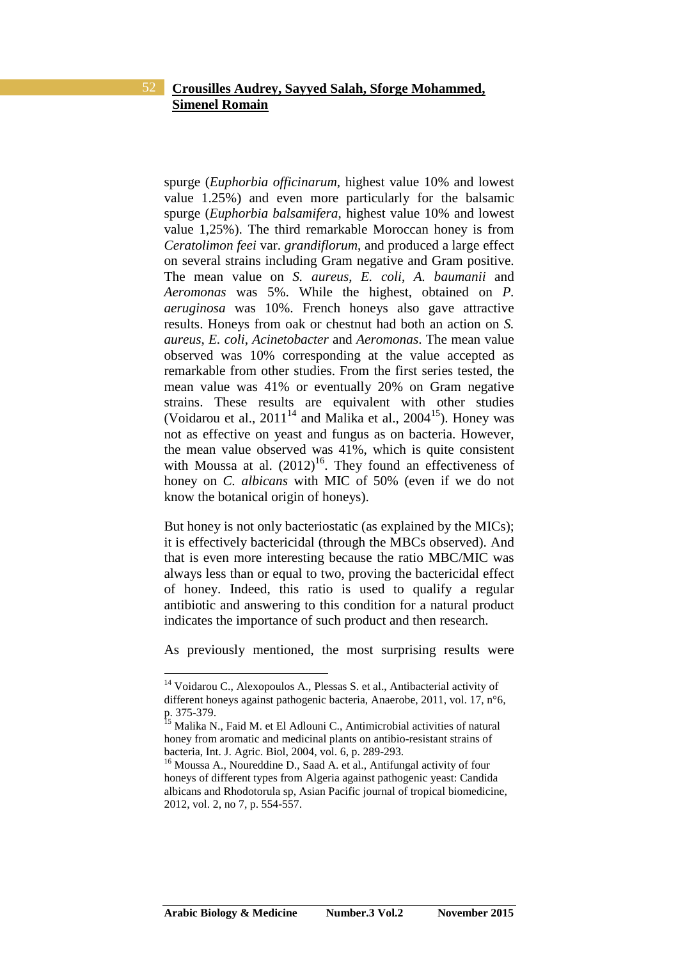spurge (*Euphorbia officinarum*, highest value 10% and lowest value 1.25%) and even more particularly for the balsamic spurge (*Euphorbia balsamifera*, highest value 10% and lowest value 1,25%). The third remarkable Moroccan honey is from *Ceratolimon feei* var. *grandiflorum*, and produced a large effect on several strains including Gram negative and Gram positive. The mean value on *S. aureus*, *E. coli*, *A. baumanii* and *Aeromonas* was 5%. While the highest, obtained on *P. aeruginosa* was 10%. French honeys also gave attractive results. Honeys from oak or chestnut had both an action on *S. aureus*, *E. coli*, *Acinetobacter* and *Aeromonas*. The mean value observed was 10% corresponding at the value accepted as remarkable from other studies. From the first series tested, the mean value was 41% or eventually 20% on Gram negative strains. These results are equivalent with other studies (Voidarou et al.,  $2011^{14}$  and Malika et al.,  $2004^{15}$ ). Honey was not as effective on yeast and fungus as on bacteria. However, the mean value observed was 41%, which is quite consistent with Moussa at al.  $(2012)^{16}$ . They found an effectiveness of honey on *C. albicans* with MIC of 50% (even if we do not know the botanical origin of honeys).

But honey is not only bacteriostatic (as explained by the MICs); it is effectively bactericidal (through the MBCs observed). And that is even more interesting because the ratio MBC/MIC was always less than or equal to two, proving the bactericidal effect of honey. Indeed, this ratio is used to qualify a regular antibiotic and answering to this condition for a natural product indicates the importance of such product and then research.

As previously mentioned, the most surprising results were

<sup>14</sup> Voidarou C., Alexopoulos A., Plessas S. et al., Antibacterial activity of different honeys against pathogenic bacteria, Anaerobe, 2011, vol. 17, n°6, p. 375-379.

<sup>15</sup> Malika N., Faid M. et El Adlouni C., Antimicrobial activities of natural honey from aromatic and medicinal plants on antibio-resistant strains of bacteria, Int. J. Agric. Biol, 2004, vol. 6, p. 289-293.

<sup>&</sup>lt;sup>16</sup> Moussa A., Noureddine D., Saad A. et al., Antifungal activity of four honeys of different types from Algeria against pathogenic yeast: Candida albicans and Rhodotorula sp, Asian Pacific journal of tropical biomedicine, 2012, vol. 2, no 7, p. 554-557.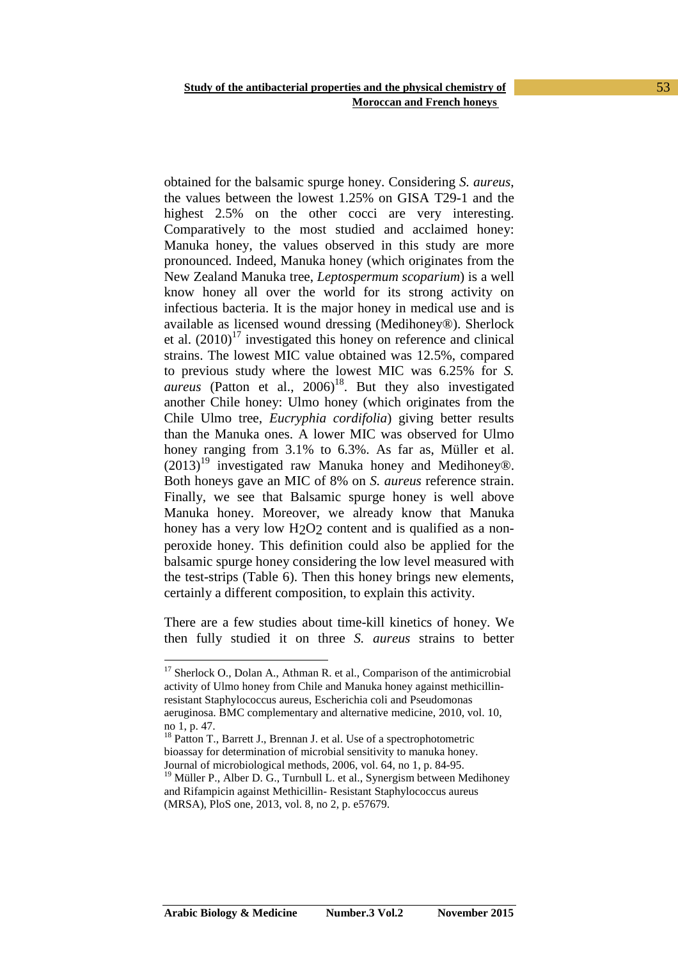obtained for the balsamic spurge honey. Considering *S. aureus*, the values between the lowest 1.25% on GISA T29-1 and the highest 2.5% on the other cocci are very interesting. Comparatively to the most studied and acclaimed honey: Manuka honey, the values observed in this study are more pronounced. Indeed, Manuka honey (which originates from the New Zealand Manuka tree, *Leptospermum scoparium*) is a well know honey all over the world for its strong activity on infectious bacteria. It is the major honey in medical use and is available as licensed wound dressing (Medihoney®). Sherlock et al.  $(2010)^{17}$  investigated this honey on reference and clinical strains. The lowest MIC value obtained was 12.5%, compared to previous study where the lowest MIC was 6.25% for *S.*   $areus$  (Patton et al.,  $2006$ <sup>18</sup>. But they also investigated another Chile honey: Ulmo honey (which originates from the Chile Ulmo tree, *Eucryphia cordifolia*) giving better results than the Manuka ones. A lower MIC was observed for Ulmo honey ranging from 3.1% to 6.3%. As far as, Müller et al.  $(2013)^{19}$  investigated raw Manuka honey and Medihoney®. Both honeys gave an MIC of 8% on *S. aureus* reference strain. Finally, we see that Balsamic spurge honey is well above Manuka honey. Moreover, we already know that Manuka honey has a very low H<sub>2</sub>O<sub>2</sub> content and is qualified as a nonperoxide honey. This definition could also be applied for the balsamic spurge honey considering the low level measured with the test-strips (Table 6). Then this honey brings new elements, certainly a different composition, to explain this activity.

There are a few studies about time-kill kinetics of honey. We then fully studied it on three *S. aureus* strains to better

<sup>&</sup>lt;sup>17</sup> Sherlock O., Dolan A., Athman R. et al., Comparison of the antimicrobial activity of Ulmo honey from Chile and Manuka honey against methicillinresistant Staphylococcus aureus, Escherichia coli and Pseudomonas aeruginosa. BMC complementary and alternative medicine, 2010, vol. 10,

no 1, p. 47.

<sup>&</sup>lt;sup>18</sup> Patton T., Barrett J., Brennan J. et al. Use of a spectrophotometric bioassay for determination of microbial sensitivity to manuka honey. Journal of microbiological methods, 2006, vol. 64, no 1, p. 84-95.

 $19$  Müller P., Alber D. G., Turnbull L. et al., Synergism between Medihoney and Rifampicin against Methicillin- Resistant Staphylococcus aureus (MRSA), PloS one, 2013, vol. 8, no 2, p. e57679.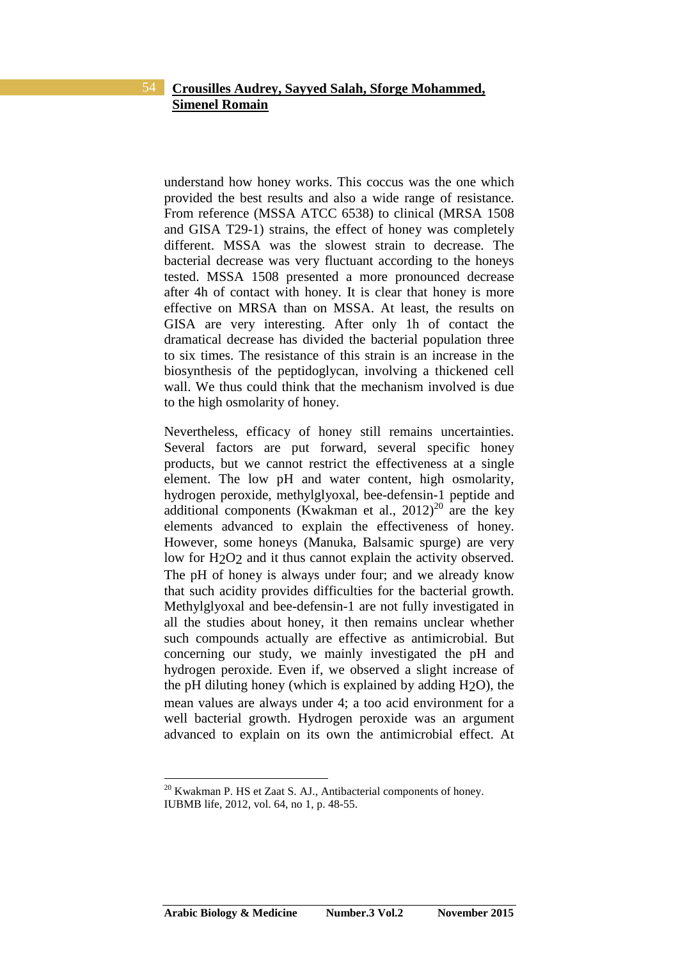understand how honey works. This coccus was the one which provided the best results and also a wide range of resistance. From reference (MSSA ATCC 6538) to clinical (MRSA 1508 and GISA T29-1) strains, the effect of honey was completely different. MSSA was the slowest strain to decrease. The bacterial decrease was very fluctuant according to the honeys tested. MSSA 1508 presented a more pronounced decrease after 4h of contact with honey. It is clear that honey is more effective on MRSA than on MSSA. At least, the results on GISA are very interesting. After only 1h of contact the dramatical decrease has divided the bacterial population three to six times. The resistance of this strain is an increase in the biosynthesis of the peptidoglycan, involving a thickened cell wall. We thus could think that the mechanism involved is due to the high osmolarity of honey.

Nevertheless, efficacy of honey still remains uncertainties. Several factors are put forward, several specific honey products, but we cannot restrict the effectiveness at a single element. The low pH and water content, high osmolarity, hydrogen peroxide, methylglyoxal, bee-defensin-1 peptide and additional components (Kwakman et al.,  $2012)^{20}$  are the key elements advanced to explain the effectiveness of honey. However, some honeys (Manuka, Balsamic spurge) are very low for H<sub>2</sub>O<sub>2</sub> and it thus cannot explain the activity observed. The pH of honey is always under four; and we already know that such acidity provides difficulties for the bacterial growth. Methylglyoxal and bee-defensin-1 are not fully investigated in all the studies about honey, it then remains unclear whether such compounds actually are effective as antimicrobial. But concerning our study, we mainly investigated the pH and hydrogen peroxide. Even if, we observed a slight increase of the pH diluting honey (which is explained by adding H2O), the mean values are always under 4; a too acid environment for a well bacterial growth. Hydrogen peroxide was an argument advanced to explain on its own the antimicrobial effect. At

 $20$  Kwakman P. HS et Zaat S. AJ., Antibacterial components of honey. IUBMB life, 2012, vol. 64, no 1, p. 48-55.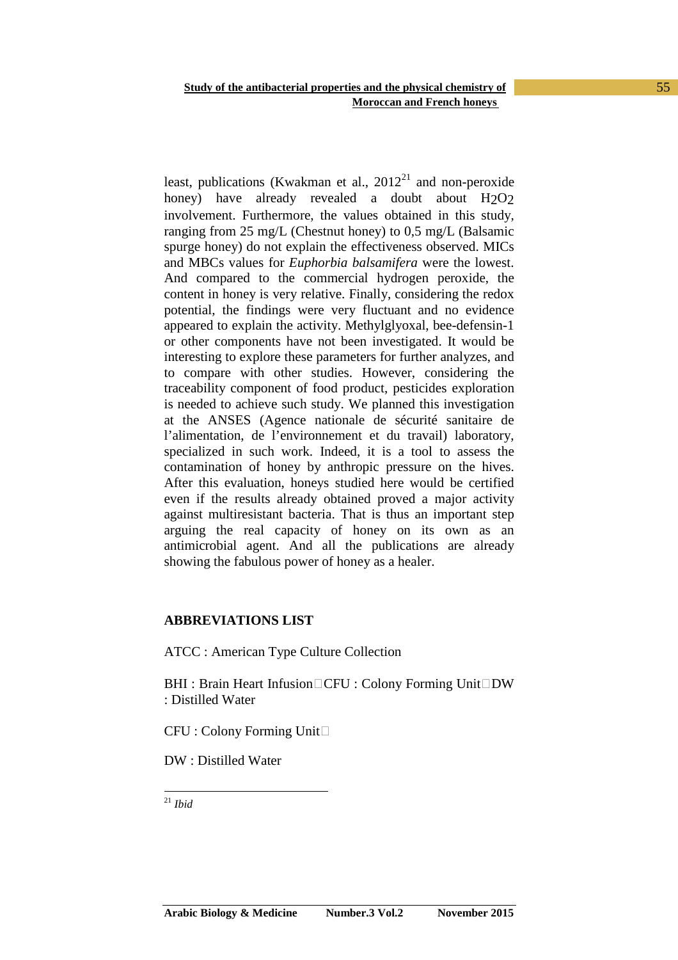least, publications (Kwakman et al.,  $2012<sup>21</sup>$  and non-peroxide honey) have already revealed a doubt about H<sub>2</sub>O<sub>2</sub> involvement. Furthermore, the values obtained in this study, ranging from 25 mg/L (Chestnut honey) to 0,5 mg/L (Balsamic spurge honey) do not explain the effectiveness observed. MICs and MBCs values for *Euphorbia balsamifera* were the lowest. And compared to the commercial hydrogen peroxide, the content in honey is very relative. Finally, considering the redox potential, the findings were very fluctuant and no evidence appeared to explain the activity. Methylglyoxal, bee-defensin-1 or other components have not been investigated. It would be interesting to explore these parameters for further analyzes, and to compare with other studies. However, considering the traceability component of food product, pesticides exploration is needed to achieve such study. We planned this investigation at the ANSES (Agence nationale de sécurité sanitaire de l'alimentation, de l'environnement et du travail) laboratory, specialized in such work. Indeed, it is a tool to assess the contamination of honey by anthropic pressure on the hives. After this evaluation, honeys studied here would be certified even if the results already obtained proved a major activity against multiresistant bacteria. That is thus an important step arguing the real capacity of honey on its own as an antimicrobial agent. And all the publications are already showing the fabulous power of honey as a healer.

#### **ABBREVIATIONS LIST**

ATCC : American Type Culture Collection

BHI: Brain Heart Infusion□CFU: Colony Forming Unit□DW : Distilled Water

CFU : Colony Forming Unit□

DW : Distilled Water

 $\overline{a}$ <sup>21</sup> *Ibid*